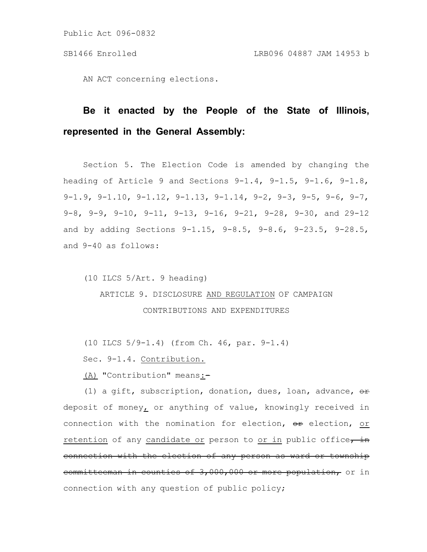AN ACT concerning elections.

# **Be it enacted by the People of the State of Illinois, represented in the General Assembly:**

Section 5. The Election Code is amended by changing the heading of Article 9 and Sections  $9-1.4$ ,  $9-1.5$ ,  $9-1.6$ ,  $9-1.8$ , 9-1.9, 9-1.10, 9-1.12, 9-1.13, 9-1.14, 9-2, 9-3, 9-5, 9-6, 9-7, 9-8, 9-9, 9-10, 9-11, 9-13, 9-16, 9-21, 9-28, 9-30, and 29-12 and by adding Sections 9-1.15, 9-8.5, 9-8.6, 9-23.5, 9-28.5, and 9-40 as follows:

(10 ILCS 5/Art. 9 heading) ARTICLE 9. DISCLOSURE AND REGULATION OF CAMPAIGN CONTRIBUTIONS AND EXPENDITURES

(10 ILCS 5/9-1.4) (from Ch. 46, par. 9-1.4)

Sec. 9-1.4. Contribution.

(A) "Contribution" means:-

(1) a gift, subscription, donation, dues, loan, advance,  $\theta$ r deposit of money, or anything of value, knowingly received in connection with the nomination for election, or election, or retention of any candidate or person to or in public office, in connection with the election of any person as ward or township committeeman in counties of 3,000,000 or more population, or in connection with any question of public policy;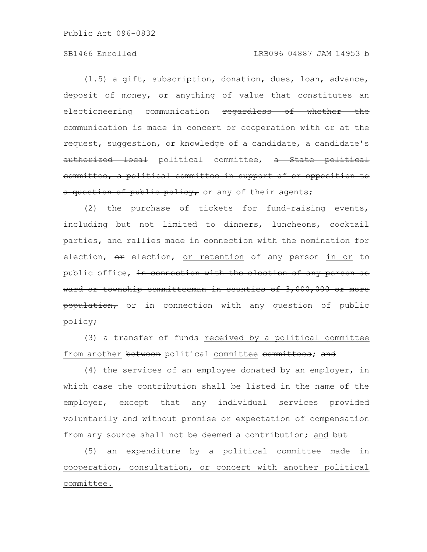# SB1466 Enrolled LRB096 04887 JAM 14953 b

(1.5) a gift, subscription, donation, dues, loan, advance, deposit of money, or anything of value that constitutes an electioneering communication regardless of whether the communication is made in concert or cooperation with or at the request, suggestion, or knowledge of a candidate, a candidate's authorized local political committee, a State political committee, a political committee in support of or opposition to a question of public policy, or any of their agents;

(2) the purchase of tickets for fund-raising events, including but not limited to dinners, luncheons, cocktail parties, and rallies made in connection with the nomination for election, or election, or retention of any person in or to public office, in connection with the election of any person as ward or township committeeman in counties of 3,000,000 or more population, or in connection with any question of public policy;

(3) a transfer of funds received by a political committee from another between political committee committees; and

(4) the services of an employee donated by an employer, in which case the contribution shall be listed in the name of the employer, except that any individual services provided voluntarily and without promise or expectation of compensation from any source shall not be deemed a contribution; and but

(5) an expenditure by a political committee made in cooperation, consultation, or concert with another political committee.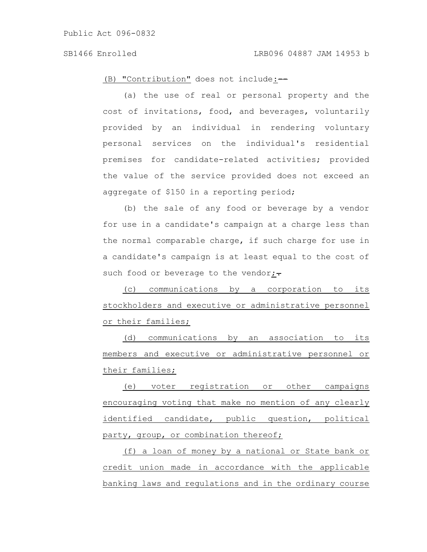(B) "Contribution" does not include:-

(a) the use of real or personal property and the cost of invitations, food, and beverages, voluntarily provided by an individual in rendering voluntary personal services on the individual's residential premises for candidate-related activities; provided the value of the service provided does not exceed an aggregate of \$150 in a reporting period;

(b) the sale of any food or beverage by a vendor for use in a candidate's campaign at a charge less than the normal comparable charge, if such charge for use in a candidate's campaign is at least equal to the cost of such food or beverage to the vendor; $\div$ 

(c) communications by a corporation to its stockholders and executive or administrative personnel or their families;

(d) communications by an association to its members and executive or administrative personnel or their families;

(e) voter registration or other campaigns encouraging voting that make no mention of any clearly identified candidate, public question, political party, group, or combination thereof;

(f) a loan of money by a national or State bank or credit union made in accordance with the applicable banking laws and regulations and in the ordinary course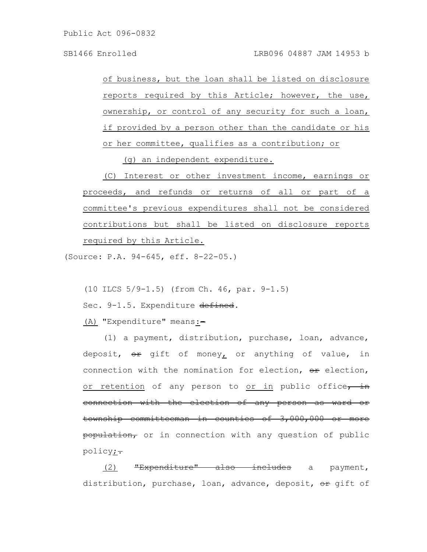of business, but the loan shall be listed on disclosure reports required by this Article; however, the use, ownership, or control of any security for such a loan, if provided by a person other than the candidate or his or her committee, qualifies as a contribution; or

(g) an independent expenditure.

(C) Interest or other investment income, earnings or proceeds, and refunds or returns of all or part of a committee's previous expenditures shall not be considered contributions but shall be listed on disclosure reports required by this Article.

(Source: P.A. 94-645, eff. 8-22-05.)

(10 ILCS 5/9-1.5) (from Ch. 46, par. 9-1.5)

Sec. 9-1.5. Expenditure defined.

(A) "Expenditure" means:-

(1) a payment, distribution, purchase, loan, advance, deposit, or gift of money, or anything of value, in connection with the nomination for election,  $er$  election, or retention of any person to or in public office, in connection with the election of any person as ward or township committeeman in counties of 3,000,000 or more population, or in connection with any question of public policy<u>;</u>

(2) "Expenditure" also includes a payment, distribution, purchase, loan, advance, deposit, or gift of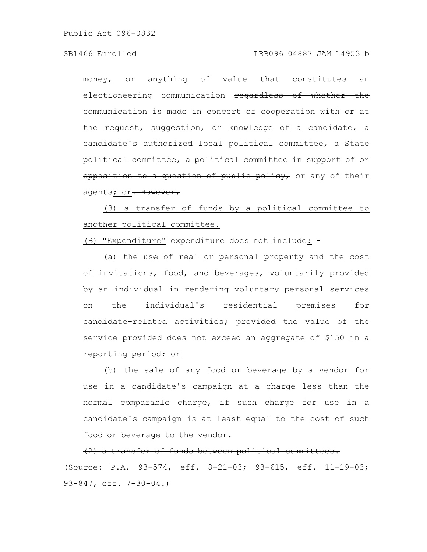# SB1466 Enrolled LRB096 04887 JAM 14953 b

money, or anything of value that constitutes an electioneering communication regardless of whether the communication is made in concert or cooperation with or at the request, suggestion, or knowledge of a candidate, a eandidate's authorized local political committee, a State political committee, a political committee in support of or opposition to a question of public policy, or any of their agents; or. However,

(3) a transfer of funds by a political committee to another political committee.

(B) "Expenditure" expenditure does not include: -

(a) the use of real or personal property and the cost of invitations, food, and beverages, voluntarily provided by an individual in rendering voluntary personal services on the individual's residential premises for candidate-related activities; provided the value of the service provided does not exceed an aggregate of \$150 in a reporting period; or

(b) the sale of any food or beverage by a vendor for use in a candidate's campaign at a charge less than the normal comparable charge, if such charge for use in a candidate's campaign is at least equal to the cost of such food or beverage to the vendor.

(2) a transfer of funds between political committees.

(Source: P.A. 93-574, eff. 8-21-03; 93-615, eff. 11-19-03; 93-847, eff. 7-30-04.)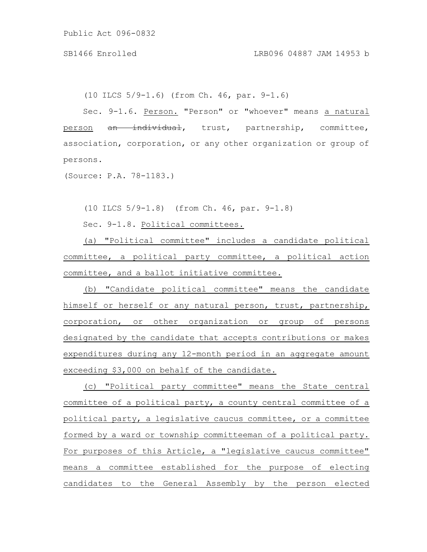(10 ILCS 5/9-1.6) (from Ch. 46, par. 9-1.6)

Sec. 9-1.6. Person. "Person" or "whoever" means a natural person an individual, trust, partnership, committee, association, corporation, or any other organization or group of persons.

(Source: P.A. 78-1183.)

(10 ILCS 5/9-1.8) (from Ch. 46, par. 9-1.8)

Sec. 9-1.8. Political committees.

(a) "Political committee" includes a candidate political committee, a political party committee, a political action committee, and a ballot initiative committee.

(b) "Candidate political committee" means the candidate himself or herself or any natural person, trust, partnership, corporation, or other organization or group of persons designated by the candidate that accepts contributions or makes expenditures during any 12-month period in an aggregate amount exceeding \$3,000 on behalf of the candidate.

(c) "Political party committee" means the State central committee of a political party, a county central committee of a political party, a legislative caucus committee, or a committee formed by a ward or township committeeman of a political party. For purposes of this Article, a "legislative caucus committee" means a committee established for the purpose of electing candidates to the General Assembly by the person elected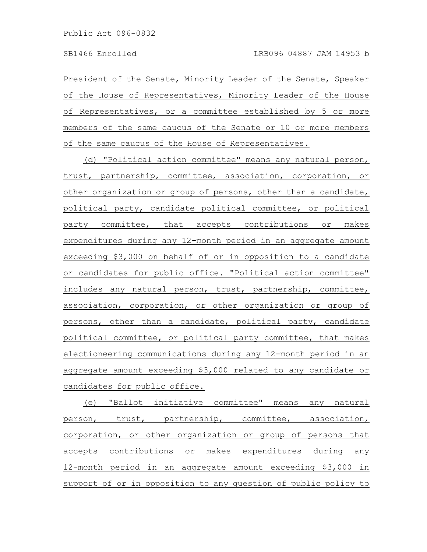President of the Senate, Minority Leader of the Senate, Speaker of the House of Representatives, Minority Leader of the House of Representatives, or a committee established by 5 or more members of the same caucus of the Senate or 10 or more members of the same caucus of the House of Representatives.

(d) "Political action committee" means any natural person, trust, partnership, committee, association, corporation, or other organization or group of persons, other than a candidate, political party, candidate political committee, or political party committee, that accepts contributions or makes expenditures during any 12-month period in an aggregate amount exceeding \$3,000 on behalf of or in opposition to a candidate or candidates for public office. "Political action committee" includes any natural person, trust, partnership, committee, association, corporation, or other organization or group of persons, other than a candidate, political party, candidate political committee, or political party committee, that makes electioneering communications during any 12-month period in an aggregate amount exceeding \$3,000 related to any candidate or candidates for public office.

(e) "Ballot initiative committee" means any natural person, trust, partnership, committee, association, corporation, or other organization or group of persons that accepts contributions or makes expenditures during any 12-month period in an aggregate amount exceeding \$3,000 in support of or in opposition to any question of public policy to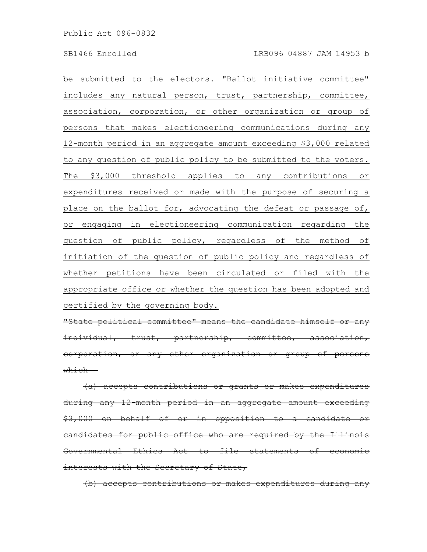be submitted to the electors. "Ballot initiative committee" includes any natural person, trust, partnership, committee, association, corporation, or other organization or group of persons that makes electioneering communications during any 12-month period in an aggregate amount exceeding \$3,000 related to any question of public policy to be submitted to the voters. The \$3,000 threshold applies to any contributions or expenditures received or made with the purpose of securing a place on the ballot for, advocating the defeat or passage of, or engaging in electioneering communication regarding the question of public policy, regardless of the method of initiation of the question of public policy and regardless of whether petitions have been circulated or filed with the appropriate office or whether the question has been adopted and certified by the governing body.

"State political committee" means the candidate himself individual, trust, partnership, committee, corporation, or any other organization or  $\overline{\text{which}}$ 

(a) accepts contributions or grants or makes <u>during any 12-month period in an aggregate amount</u> \$3,000 on behalf of or in opposition to a candidate eandidates for public office who are required by the Governmental Ethics Act to file statements of economic interests with the Secretary of State,

(b) accepts contributions or makes expenditures during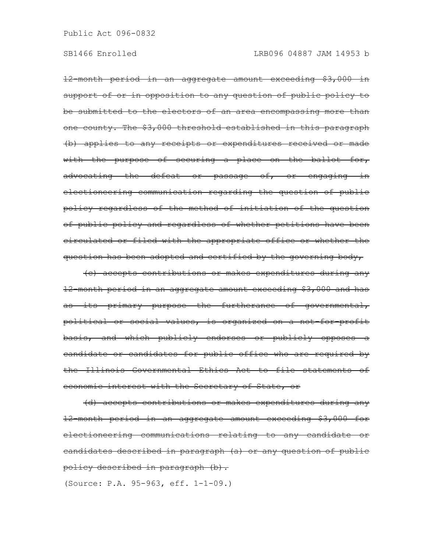12-month period in an aggregate amount exceeding \$3,000 in support of or in opposition to any question of public policy to be submitted to the electors of an area encompassing more than one county. The \$3,000 threshold established in this paragraph (b) applies to any receipts or expenditures received or made with the purpose of securing a place on the ballot for, advocating the defeat or passage of, or engaging in electioneering communication regarding the question of public policy regardless of the method of initiation of the question of public policy and regardless of whether petitions have been circulated or filed with the appropriate office or whether the question has been adopted and certified by the governing body,

(c) accepts contributions or makes expenditures during any 12-month period in an aggregate amount exceeding \$3,000 and has as its primary purpose the furtherance of governmental, political or social values, is organized on a not-for-profit basis, and which publicly endorses or publicly opposes a candidate or candidates for public office who are required by the Illinois Governmental Ethics Act to file statements of economic interest with the Secretary of State, or

(d) accepts contributions or makes expenditures during any 12-month period in an aggregate amount exceeding \$3,000 for electioneering communications relating to any candidate or candidates described in paragraph (a) or any question of public policy described in paragraph (b).

(Source: P.A. 95-963, eff. 1-1-09.)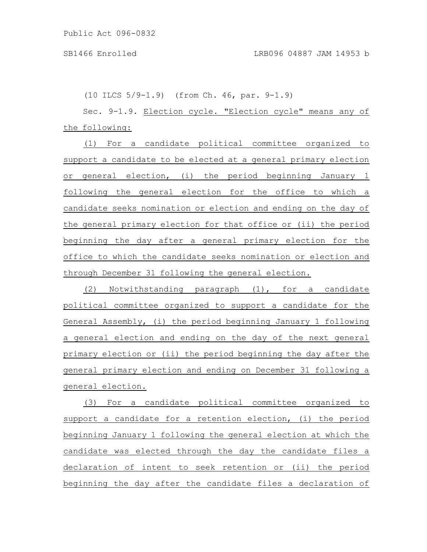(10 ILCS 5/9-1.9) (from Ch. 46, par. 9-1.9)

Sec. 9-1.9. Election cycle. "Election cycle" means any of the following:

(1) For a candidate political committee organized to support a candidate to be elected at a general primary election or general election, (i) the period beginning January 1 following the general election for the office to which a candidate seeks nomination or election and ending on the day of the general primary election for that office or (ii) the period beginning the day after a general primary election for the office to which the candidate seeks nomination or election and through December 31 following the general election.

(2) Notwithstanding paragraph (1), for a candidate political committee organized to support a candidate for the General Assembly, (i) the period beginning January 1 following a general election and ending on the day of the next general primary election or (ii) the period beginning the day after the general primary election and ending on December 31 following a general election.

(3) For a candidate political committee organized to support a candidate for a retention election, (i) the period beginning January 1 following the general election at which the candidate was elected through the day the candidate files a declaration of intent to seek retention or (ii) the period beginning the day after the candidate files a declaration of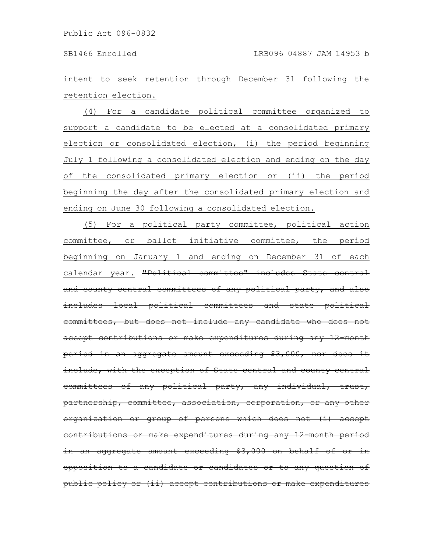intent to seek retention through December 31 following the retention election.

(4) For a candidate political committee organized to support a candidate to be elected at a consolidated primary election or consolidated election, (i) the period beginning July 1 following a consolidated election and ending on the day of the consolidated primary election or (ii) the period beginning the day after the consolidated primary election and ending on June 30 following a consolidated election.

(5) For a political party committee, political action committee, or ballot initiative committee, the period beginning on January 1 and ending on December 31 of each calendar year. "Political committee" includes State and county central committees of any political party, and also includes local political committees and state political committees, but does not include any candidate who accept contributions or make expenditures during any 12-month period in an aggregate amount exceeding \$3,000, nor does include, with the exception of State central and county central committees of any political party, any individual, trust, partnership, committee, association, corporation, or any other organization or group of persons which does not (i) accept contributions or make expenditures during any 12-month period  $in$  an aggregate amount exceeding  $$3,000$  on behalf of opposition to a candidate or candidates or to any public policy or (ii) accept contributions or make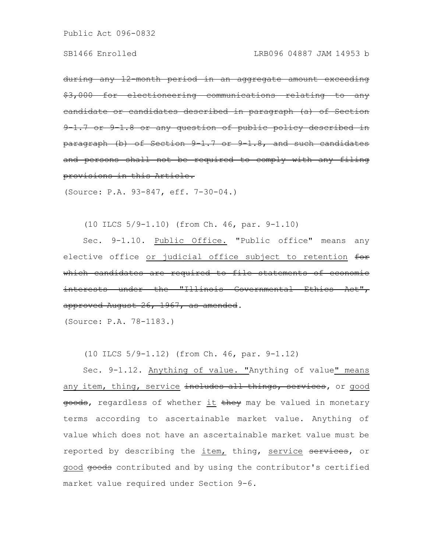during any 12-month period in an aggregate amount exceeding \$3,000 for electioneering communications relating to any eandidate or candidates described in paragraph (a) 9-1.7 or 9-1.8 or any question of public policy  $\frac{\text{parameter of the total}}{\text{parameter of the total}}$ and persons shall not be required to comply with any filing provisions in this Article.

(Source: P.A. 93-847, eff. 7-30-04.)

(10 ILCS 5/9-1.10) (from Ch. 46, par. 9-1.10)

Sec. 9-1.10. Public Office. "Public office" means any elective office or judicial office subject to retention for which candidates are required to file statements interests under the "Illinois Governmental Ethics Act", approved August 26, 1967, as amended.

(Source: P.A. 78-1183.)

(10 ILCS 5/9-1.12) (from Ch. 46, par. 9-1.12)

Sec. 9-1.12. Anything of value. "Anything of value" means any item, thing, service includes all things, services, or good goods, regardless of whether it they may be valued in monetary terms according to ascertainable market value. Anything of value which does not have an ascertainable market value must be reported by describing the item, thing, service services, or good goods contributed and by using the contributor's certified market value required under Section 9-6.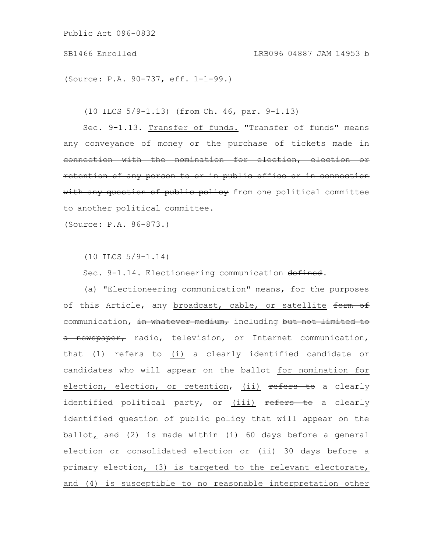(Source: P.A. 90-737, eff. 1-1-99.)

(10 ILCS 5/9-1.13) (from Ch. 46, par. 9-1.13)

Sec. 9-1.13. Transfer of funds. "Transfer of funds" means any conveyance of money or the purchase of tickets made in connection with the nomination for election, election or retention of any person to or in public office or in connection with any question of public policy from one political committee to another political committee.

(Source: P.A. 86-873.)

(10 ILCS 5/9-1.14)

Sec. 9-1.14. Electioneering communication defined.

(a) "Electioneering communication" means, for the purposes of this Article, any broadcast, cable, or satellite form of communication, in whatever medium, including but not limited to a newspaper, radio, television, or Internet communication, that (1) refers to (i) a clearly identified candidate or candidates who will appear on the ballot for nomination for election, election, or retention, (ii) refers to a clearly identified political party, or (iii) refers to a clearly identified question of public policy that will appear on the ballot, and (2) is made within (i) 60 days before a general election or consolidated election or (ii) 30 days before a primary election, (3) is targeted to the relevant electorate, and (4) is susceptible to no reasonable interpretation other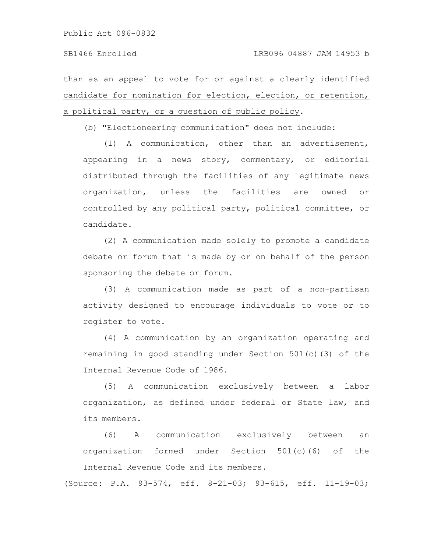than as an appeal to vote for or against a clearly identified candidate for nomination for election, election, or retention, a political party, or a question of public policy.

(b) "Electioneering communication" does not include:

(1) A communication, other than an advertisement, appearing in a news story, commentary, or editorial distributed through the facilities of any legitimate news organization, unless the facilities are owned or controlled by any political party, political committee, or candidate.

(2) A communication made solely to promote a candidate debate or forum that is made by or on behalf of the person sponsoring the debate or forum.

(3) A communication made as part of a non-partisan activity designed to encourage individuals to vote or to register to vote.

(4) A communication by an organization operating and remaining in good standing under Section 501(c)(3) of the Internal Revenue Code of 1986.

(5) A communication exclusively between a labor organization, as defined under federal or State law, and its members.

(6) A communication exclusively between an organization formed under Section 501(c)(6) of the Internal Revenue Code and its members.

(Source: P.A. 93-574, eff. 8-21-03; 93-615, eff. 11-19-03;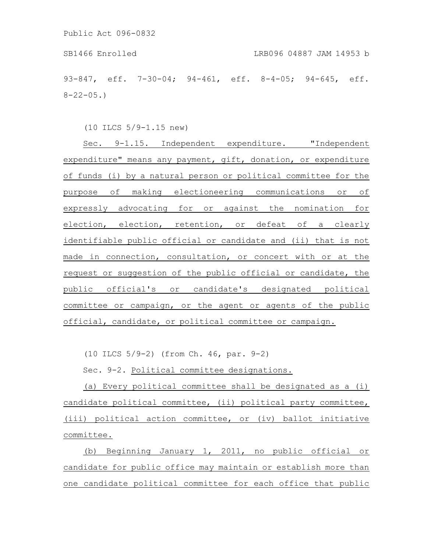93-847, eff. 7-30-04; 94-461, eff. 8-4-05; 94-645, eff.  $8 - 22 - 05.$ 

(10 ILCS 5/9-1.15 new)

Sec. 9-1.15. Independent expenditure. "Independent expenditure" means any payment, gift, donation, or expenditure of funds (i) by a natural person or political committee for the purpose of making electioneering communications or of expressly advocating for or against the nomination for election, election, retention, or defeat of a clearly identifiable public official or candidate and (ii) that is not made in connection, consultation, or concert with or at the request or suggestion of the public official or candidate, the public official's or candidate's designated political committee or campaign, or the agent or agents of the public official, candidate, or political committee or campaign.

(10 ILCS 5/9-2) (from Ch. 46, par. 9-2)

Sec. 9-2. Political committee designations.

(a) Every political committee shall be designated as a (i) candidate political committee, (ii) political party committee, (iii) political action committee, or (iv) ballot initiative committee.

(b) Beginning January 1, 2011, no public official or candidate for public office may maintain or establish more than one candidate political committee for each office that public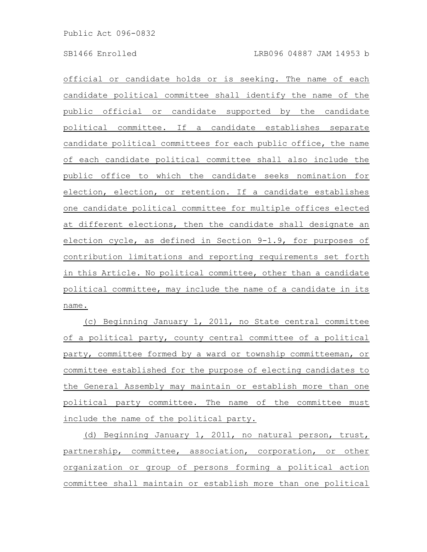official or candidate holds or is seeking. The name of each candidate political committee shall identify the name of the public official or candidate supported by the candidate political committee. If a candidate establishes separate candidate political committees for each public office, the name of each candidate political committee shall also include the public office to which the candidate seeks nomination for election, election, or retention. If a candidate establishes one candidate political committee for multiple offices elected at different elections, then the candidate shall designate an election cycle, as defined in Section 9-1.9, for purposes of contribution limitations and reporting requirements set forth in this Article. No political committee, other than a candidate political committee, may include the name of a candidate in its name.

(c) Beginning January 1, 2011, no State central committee of a political party, county central committee of a political party, committee formed by a ward or township committeeman, or committee established for the purpose of electing candidates to the General Assembly may maintain or establish more than one political party committee. The name of the committee must include the name of the political party.

(d) Beginning January 1, 2011, no natural person, trust, partnership, committee, association, corporation, or other organization or group of persons forming a political action committee shall maintain or establish more than one political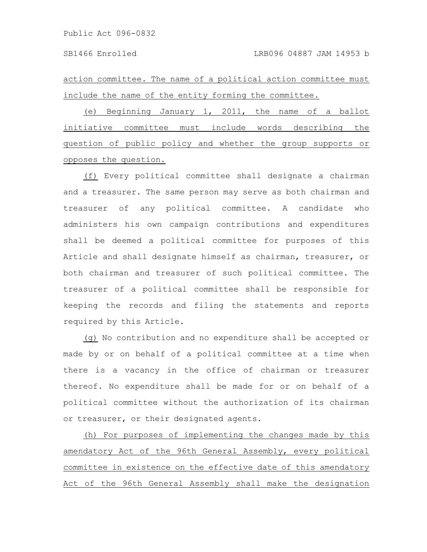action committee. The name of a political action committee must include the name of the entity forming the committee.

(e) Beginning January 1, 2011, the name of a ballot initiative committee must include words describing the question of public policy and whether the group supports or opposes the question.

(f) Every political committee shall designate a chairman and a treasurer. The same person may serve as both chairman and treasurer of any political committee. A candidate who administers his own campaign contributions and expenditures shall be deemed a political committee for purposes of this Article and shall designate himself as chairman, treasurer, or both chairman and treasurer of such political committee. The treasurer of a political committee shall be responsible for keeping the records and filing the statements and reports required by this Article.

(g) No contribution and no expenditure shall be accepted or made by or on behalf of a political committee at a time when there is a vacancy in the office of chairman or treasurer thereof. No expenditure shall be made for or on behalf of a political committee without the authorization of its chairman or treasurer, or their designated agents.

(h) For purposes of implementing the changes made by this amendatory Act of the 96th General Assembly, every political committee in existence on the effective date of this amendatory Act of the 96th General Assembly shall make the designation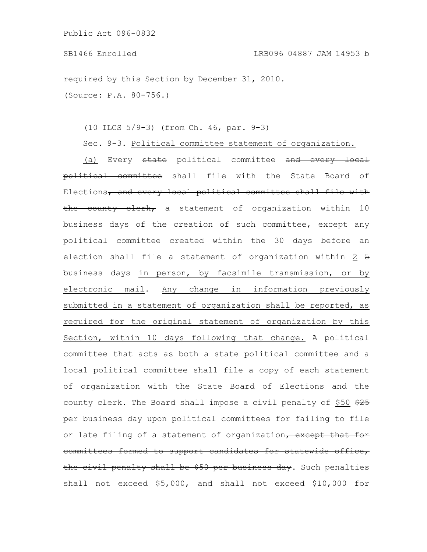required by this Section by December 31, 2010. (Source: P.A. 80-756.)

(10 ILCS 5/9-3) (from Ch. 46, par. 9-3)

Sec. 9-3. Political committee statement of organization.

(a) Every state political committee and every local political committee shall file with the State Board of Elections, and every local political committee shall file with the county clerk, a statement of organization within 10 business days of the creation of such committee, except any political committee created within the 30 days before an election shall file a statement of organization within 2 5 business days in person, by facsimile transmission, or by electronic mail. Any change in information previously submitted in a statement of organization shall be reported, as required for the original statement of organization by this Section, within 10 days following that change. A political committee that acts as both a state political committee and a local political committee shall file a copy of each statement of organization with the State Board of Elections and the county clerk. The Board shall impose a civil penalty of \$50 \$25 per business day upon political committees for failing to file or late filing of a statement of organization, except that for committees formed to support candidates for statewide office, the civil penalty shall be \$50 per business day. Such penalties shall not exceed \$5,000, and shall not exceed \$10,000 for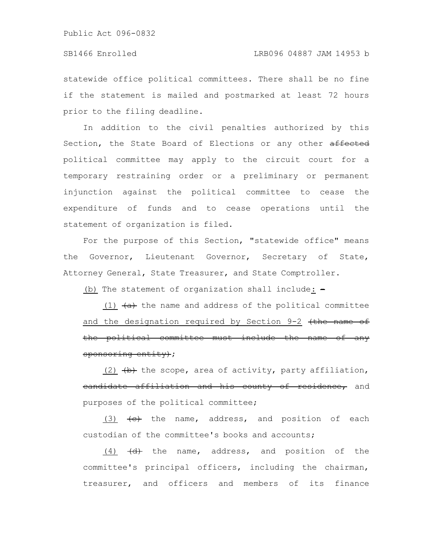# SB1466 Enrolled LRB096 04887 JAM 14953 b

statewide office political committees. There shall be no fine if the statement is mailed and postmarked at least 72 hours prior to the filing deadline.

In addition to the civil penalties authorized by this Section, the State Board of Elections or any other affected political committee may apply to the circuit court for a temporary restraining order or a preliminary or permanent injunction against the political committee to cease the expenditure of funds and to cease operations until the statement of organization is filed.

For the purpose of this Section, "statewide office" means the Governor, Lieutenant Governor, Secretary of State, Attorney General, State Treasurer, and State Comptroller.

(b) The statement of organization shall include:  $-$ 

(1)  $\leftrightarrow$  the name and address of the political committee and the designation required by Section 9-2 (the name of the political committee must include the name of any sponsoring entity);

(2)  $\leftrightarrow$  the scope, area of activity, party affiliation, eandidate affiliation and his county of residence, and purposes of the political committee;

(3)  $\left\{\text{e}\right\}$  the name, address, and position of each custodian of the committee's books and accounts;

 $(4)$   $\left(\frac{d}{dt}\right)$  the name, address, and position of the committee's principal officers, including the chairman, treasurer, and officers and members of its finance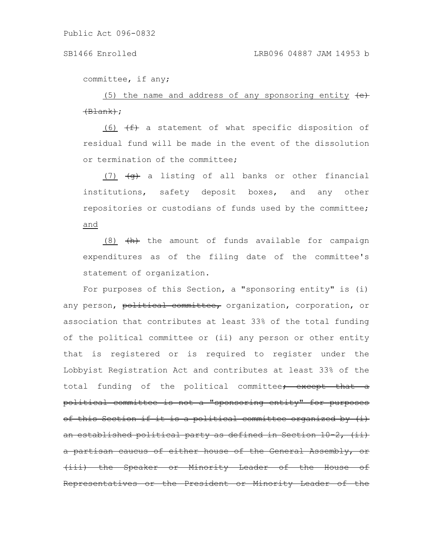committee, if any;

 $(5)$  the name and address of any sponsoring entity  $\leftrightarrow$  $\left(\text{Black}\right);$ 

(6)  $(f)$  a statement of what specific disposition of residual fund will be made in the event of the dissolution or termination of the committee;

(7)  $\left( \theta \right)$  a listing of all banks or other financial institutions, safety deposit boxes, and any other repositories or custodians of funds used by the committee; and

 $(8)$   $\overline{(h)}$  the amount of funds available for campaign expenditures as of the filing date of the committee's statement of organization.

For purposes of this Section, a "sponsoring entity" is (i) any person, political committee, organization, corporation, or association that contributes at least 33% of the total funding of the political committee or (ii) any person or other entity that is registered or is required to register under the Lobbyist Registration Act and contributes at least 33% of the total funding of the political committee<del>; except that a</del> political committee is not a "sponsoring entity" for purposes of this Section if it is a political committee organized by (i) an established political party as defined in Section 10 a partisan caucus of either house of the General Assembly, (iii) the Speaker or Minority Leader of the House Representatives or the President or Minority Leader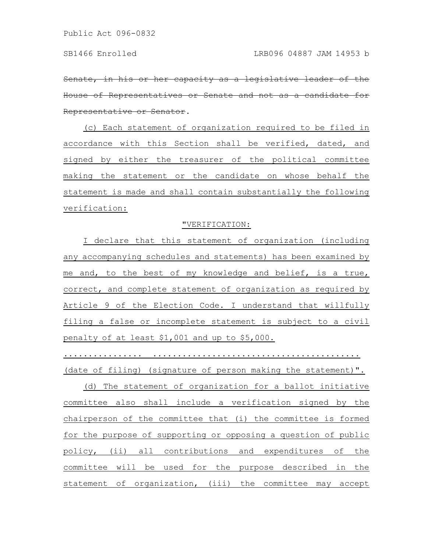Senate, in his or her capacity as a legislative of Representatives or Senate and not as Representative or Senator.

(c) Each statement of organization required to be filed in accordance with this Section shall be verified, dated, and signed by either the treasurer of the political committee making the statement or the candidate on whose behalf the statement is made and shall contain substantially the following verification:

## "VERIFICATION:

I declare that this statement of organization (including any accompanying schedules and statements) has been examined by me and, to the best of my knowledge and belief, is a true, correct, and complete statement of organization as required by Article 9 of the Election Code. I understand that willfully filing a false or incomplete statement is subject to a civil penalty of at least \$1,001 and up to \$5,000.

................ .......................................... (date of filing) (signature of person making the statement)".

(d) The statement of organization for a ballot initiative committee also shall include a verification signed by the chairperson of the committee that (i) the committee is formed for the purpose of supporting or opposing a question of public policy, (ii) all contributions and expenditures of the committee will be used for the purpose described in the statement of organization, (iii) the committee may accept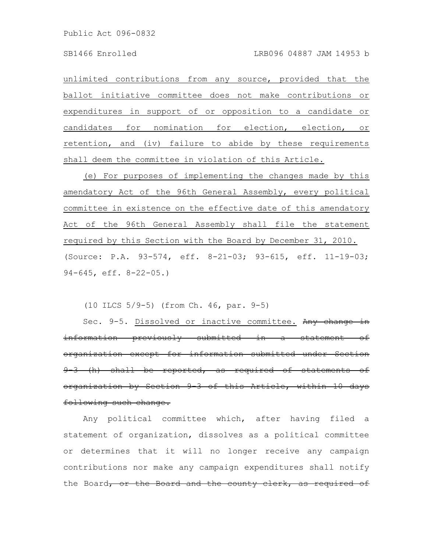unlimited contributions from any source, provided that the ballot initiative committee does not make contributions or expenditures in support of or opposition to a candidate or candidates for nomination for election, election, or retention, and (iv) failure to abide by these requirements shall deem the committee in violation of this Article.

(e) For purposes of implementing the changes made by this amendatory Act of the 96th General Assembly, every political committee in existence on the effective date of this amendatory Act of the 96th General Assembly shall file the statement required by this Section with the Board by December 31, 2010. (Source: P.A. 93-574, eff. 8-21-03; 93-615, eff. 11-19-03; 94-645, eff. 8-22-05.)

(10 ILCS 5/9-5) (from Ch. 46, par. 9-5)

Sec. 9-5. Dissolved or inactive committee. Any change in information previously submitted in a statement of organization except for information submitted under Section 9-3 (h) shall be reported, as required of statements of organization by Section 9-3 of this Article, within 10 days following such change.

Any political committee which, after having filed a statement of organization, dissolves as a political committee or determines that it will no longer receive any campaign contributions nor make any campaign expenditures shall notify the Board, or the Board and the county clerk, as required of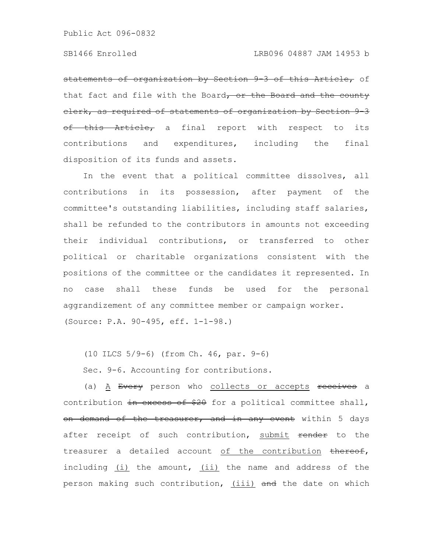statements of organization by Section 9-3 of this Article, of that fact and file with the Board, or the Board and the county clerk, as required of statements of organization by Section 9-3 of this Article, a final report with respect to its contributions and expenditures, including the final disposition of its funds and assets.

In the event that a political committee dissolves, all contributions in its possession, after payment of the committee's outstanding liabilities, including staff salaries, shall be refunded to the contributors in amounts not exceeding their individual contributions, or transferred to other political or charitable organizations consistent with the positions of the committee or the candidates it represented. In no case shall these funds be used for the personal aggrandizement of any committee member or campaign worker. (Source: P.A. 90-495, eff. 1-1-98.)

(10 ILCS 5/9-6) (from Ch. 46, par. 9-6)

Sec. 9-6. Accounting for contributions.

(a) A Every person who collects or accepts receives a contribution in excess of \$20 for a political committee shall, on demand of the treasurer, and in any event within 5 days after receipt of such contribution, submit render to the treasurer a detailed account of the contribution thereof, including (i) the amount, (ii) the name and address of the person making such contribution, (iii) and the date on which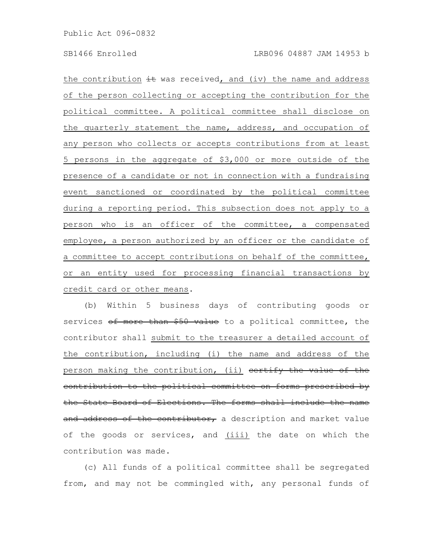the contribution  $\pm \mathbf{t}$  was received, and (iv) the name and address of the person collecting or accepting the contribution for the political committee. A political committee shall disclose on the quarterly statement the name, address, and occupation of any person who collects or accepts contributions from at least 5 persons in the aggregate of \$3,000 or more outside of the presence of a candidate or not in connection with a fundraising event sanctioned or coordinated by the political committee during a reporting period. This subsection does not apply to a person who is an officer of the committee, a compensated employee, a person authorized by an officer or the candidate of a committee to accept contributions on behalf of the committee, or an entity used for processing financial transactions by credit card or other means.

(b) Within 5 business days of contributing goods or services of more than \$50 value to a political committee, the contributor shall submit to the treasurer a detailed account of the contribution, including (i) the name and address of the person making the contribution, (ii) certify the value of the contribution to the political committee on forms prescribed by the State Board of Elections. The forms shall include the name and address of the contributor, a description and market value of the goods or services, and (iii) the date on which the contribution was made.

(c) All funds of a political committee shall be segregated from, and may not be commingled with, any personal funds of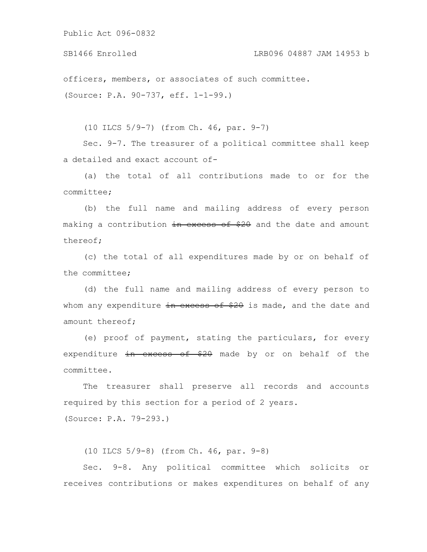SB1466 Enrolled LRB096 04887 JAM 14953 b

officers, members, or associates of such committee. (Source: P.A. 90-737, eff. 1-1-99.)

(10 ILCS 5/9-7) (from Ch. 46, par. 9-7)

Sec. 9-7. The treasurer of a political committee shall keep a detailed and exact account of-

(a) the total of all contributions made to or for the committee;

(b) the full name and mailing address of every person making a contribution in excess of \$20 and the date and amount thereof;

(c) the total of all expenditures made by or on behalf of the committee;

(d) the full name and mailing address of every person to whom any expenditure in excess of \$20 is made, and the date and amount thereof;

(e) proof of payment, stating the particulars, for every expenditure in excess of \$20 made by or on behalf of the committee.

The treasurer shall preserve all records and accounts required by this section for a period of 2 years.

(Source: P.A. 79-293.)

(10 ILCS 5/9-8) (from Ch. 46, par. 9-8)

Sec. 9-8. Any political committee which solicits or receives contributions or makes expenditures on behalf of any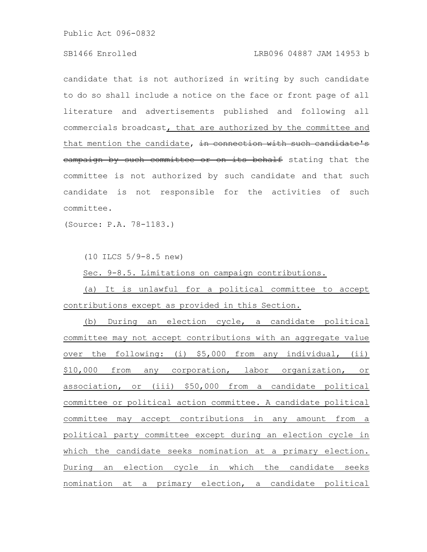# SB1466 Enrolled LRB096 04887 JAM 14953 b

candidate that is not authorized in writing by such candidate to do so shall include a notice on the face or front page of all literature and advertisements published and following all commercials broadcast, that are authorized by the committee and that mention the candidate, in connection with such candidate's campaign by such committee or on its behalf stating that the committee is not authorized by such candidate and that such candidate is not responsible for the activities of such committee.

(Source: P.A. 78-1183.)

(10 ILCS 5/9-8.5 new)

Sec. 9-8.5. Limitations on campaign contributions.

(a) It is unlawful for a political committee to accept contributions except as provided in this Section.

(b) During an election cycle, a candidate political committee may not accept contributions with an aggregate value over the following: (i) \$5,000 from any individual, (ii) \$10,000 from any corporation, labor organization, or association, or (iii) \$50,000 from a candidate political committee or political action committee. A candidate political committee may accept contributions in any amount from a political party committee except during an election cycle in which the candidate seeks nomination at a primary election. During an election cycle in which the candidate seeks nomination at a primary election, a candidate political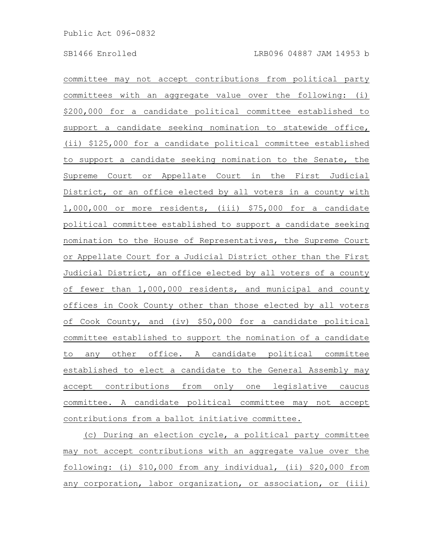committee may not accept contributions from political party committees with an aggregate value over the following: (i) \$200,000 for a candidate political committee established to support a candidate seeking nomination to statewide office, (ii) \$125,000 for a candidate political committee established to support a candidate seeking nomination to the Senate, the Supreme Court or Appellate Court in the First Judicial District, or an office elected by all voters in a county with 1,000,000 or more residents, (iii) \$75,000 for a candidate political committee established to support a candidate seeking nomination to the House of Representatives, the Supreme Court or Appellate Court for a Judicial District other than the First Judicial District, an office elected by all voters of a county of fewer than 1,000,000 residents, and municipal and county offices in Cook County other than those elected by all voters of Cook County, and (iv) \$50,000 for a candidate political committee established to support the nomination of a candidate to any other office. A candidate political committee established to elect a candidate to the General Assembly may accept contributions from only one legislative caucus committee. A candidate political committee may not accept contributions from a ballot initiative committee.

(c) During an election cycle, a political party committee may not accept contributions with an aggregate value over the following: (i) \$10,000 from any individual, (ii) \$20,000 from any corporation, labor organization, or association, or (iii)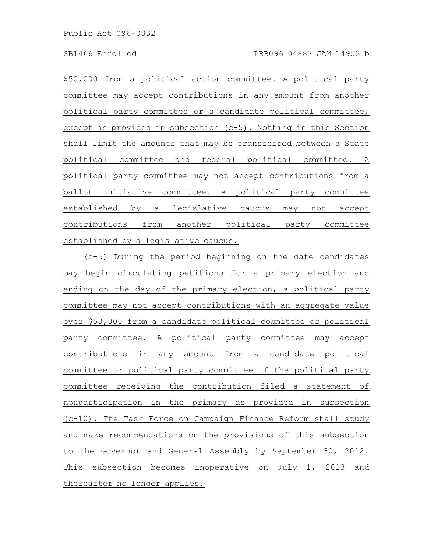\$50,000 from a political action committee. A political party committee may accept contributions in any amount from another political party committee or a candidate political committee, except as provided in subsection (c-5). Nothing in this Section shall limit the amounts that may be transferred between a State political committee and federal political committee. A political party committee may not accept contributions from a ballot initiative committee. A political party committee established by a legislative caucus may not accept contributions from another political party committee established by a legislative caucus.

(c-5) During the period beginning on the date candidates may begin circulating petitions for a primary election and ending on the day of the primary election, a political party committee may not accept contributions with an aggregate value over \$50,000 from a candidate political committee or political party committee. A political party committee may accept contributions in any amount from a candidate political committee or political party committee if the political party committee receiving the contribution filed a statement of nonparticipation in the primary as provided in subsection (c-10). The Task Force on Campaign Finance Reform shall study and make recommendations on the provisions of this subsection to the Governor and General Assembly by September 30, 2012. This subsection becomes inoperative on July 1, 2013 and thereafter no longer applies.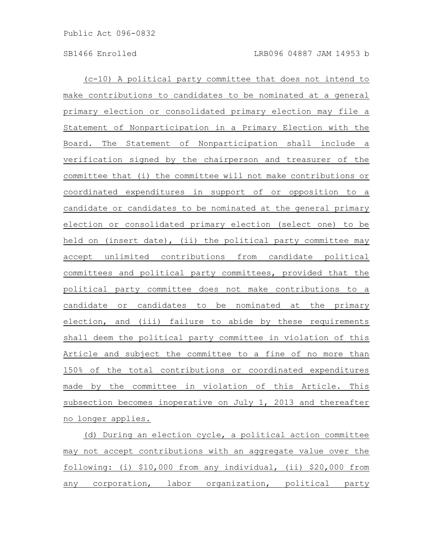(c-10) A political party committee that does not intend to make contributions to candidates to be nominated at a general primary election or consolidated primary election may file a Statement of Nonparticipation in a Primary Election with the Board. The Statement of Nonparticipation shall include a verification signed by the chairperson and treasurer of the committee that (i) the committee will not make contributions or coordinated expenditures in support of or opposition to a candidate or candidates to be nominated at the general primary election or consolidated primary election (select one) to be held on (insert date), (ii) the political party committee may accept unlimited contributions from candidate political committees and political party committees, provided that the political party committee does not make contributions to a candidate or candidates to be nominated at the primary election, and (iii) failure to abide by these requirements shall deem the political party committee in violation of this Article and subject the committee to a fine of no more than 150% of the total contributions or coordinated expenditures made by the committee in violation of this Article. This subsection becomes inoperative on July 1, 2013 and thereafter no longer applies.

(d) During an election cycle, a political action committee may not accept contributions with an aggregate value over the following: (i) \$10,000 from any individual, (ii) \$20,000 from any corporation, labor organization, political party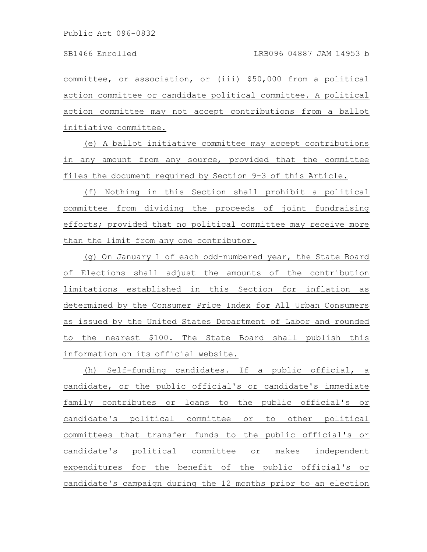committee, or association, or (iii) \$50,000 from a political action committee or candidate political committee. A political action committee may not accept contributions from a ballot initiative committee.

(e) A ballot initiative committee may accept contributions in any amount from any source, provided that the committee files the document required by Section 9-3 of this Article.

(f) Nothing in this Section shall prohibit a political committee from dividing the proceeds of joint fundraising efforts; provided that no political committee may receive more than the limit from any one contributor.

(g) On January 1 of each odd-numbered year, the State Board of Elections shall adjust the amounts of the contribution limitations established in this Section for inflation as determined by the Consumer Price Index for All Urban Consumers as issued by the United States Department of Labor and rounded to the nearest \$100. The State Board shall publish this information on its official website.

(h) Self-funding candidates. If a public official, a candidate, or the public official's or candidate's immediate family contributes or loans to the public official's or candidate's political committee or to other political committees that transfer funds to the public official's or candidate's political committee or makes independent expenditures for the benefit of the public official's or candidate's campaign during the 12 months prior to an election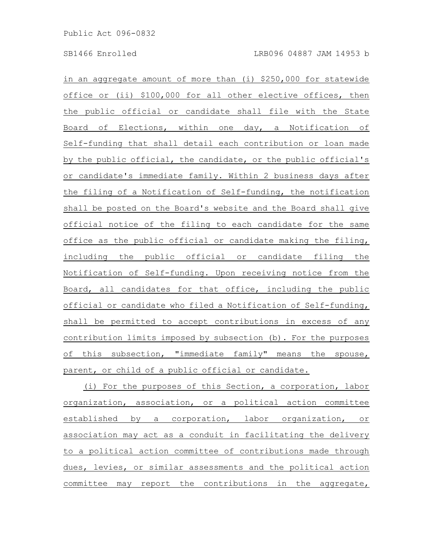in an aggregate amount of more than (i) \$250,000 for statewide office or (ii) \$100,000 for all other elective offices, then the public official or candidate shall file with the State Board of Elections, within one day, a Notification of Self-funding that shall detail each contribution or loan made by the public official, the candidate, or the public official's or candidate's immediate family. Within 2 business days after the filing of a Notification of Self-funding, the notification shall be posted on the Board's website and the Board shall give official notice of the filing to each candidate for the same office as the public official or candidate making the filing, including the public official or candidate filing the Notification of Self-funding. Upon receiving notice from the Board, all candidates for that office, including the public official or candidate who filed a Notification of Self-funding, shall be permitted to accept contributions in excess of any contribution limits imposed by subsection (b). For the purposes of this subsection, "immediate family" means the spouse, parent, or child of a public official or candidate.

(i) For the purposes of this Section, a corporation, labor organization, association, or a political action committee established by a corporation, labor organization, or association may act as a conduit in facilitating the delivery to a political action committee of contributions made through dues, levies, or similar assessments and the political action committee may report the contributions in the aggregate,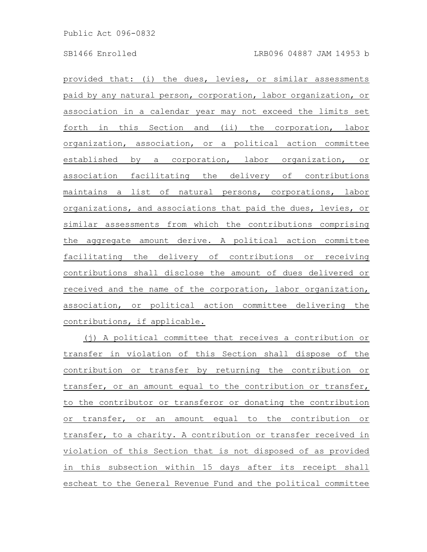provided that: (i) the dues, levies, or similar assessments paid by any natural person, corporation, labor organization, or association in a calendar year may not exceed the limits set forth in this Section and (ii) the corporation, labor organization, association, or a political action committee established by a corporation, labor organization, or association facilitating the delivery of contributions maintains a list of natural persons, corporations, labor organizations, and associations that paid the dues, levies, or similar assessments from which the contributions comprising the aggregate amount derive. A political action committee facilitating the delivery of contributions or receiving contributions shall disclose the amount of dues delivered or received and the name of the corporation, labor organization, association, or political action committee delivering the contributions, if applicable.

(j) A political committee that receives a contribution or transfer in violation of this Section shall dispose of the contribution or transfer by returning the contribution or transfer, or an amount equal to the contribution or transfer, to the contributor or transferor or donating the contribution or transfer, or an amount equal to the contribution or transfer, to a charity. A contribution or transfer received in violation of this Section that is not disposed of as provided in this subsection within 15 days after its receipt shall escheat to the General Revenue Fund and the political committee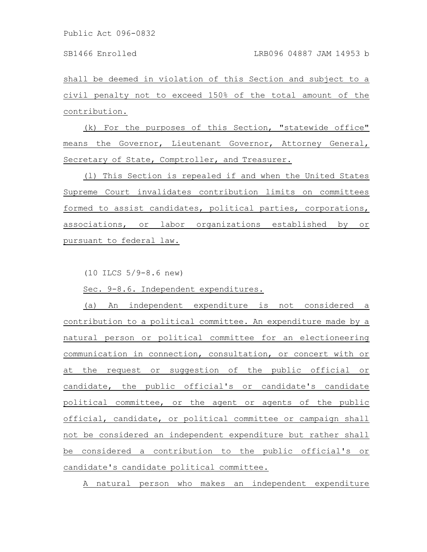shall be deemed in violation of this Section and subject to a civil penalty not to exceed 150% of the total amount of the contribution.

(k) For the purposes of this Section, "statewide office" means the Governor, Lieutenant Governor, Attorney General, Secretary of State, Comptroller, and Treasurer.

(l) This Section is repealed if and when the United States Supreme Court invalidates contribution limits on committees formed to assist candidates, political parties, corporations, associations, or labor organizations established by or pursuant to federal law.

(10 ILCS 5/9-8.6 new)

Sec. 9-8.6. Independent expenditures.

(a) An independent expenditure is not considered a contribution to a political committee. An expenditure made by a natural person or political committee for an electioneering communication in connection, consultation, or concert with or at the request or suggestion of the public official or candidate, the public official's or candidate's candidate political committee, or the agent or agents of the public official, candidate, or political committee or campaign shall not be considered an independent expenditure but rather shall be considered a contribution to the public official's or candidate's candidate political committee.

A natural person who makes an independent expenditure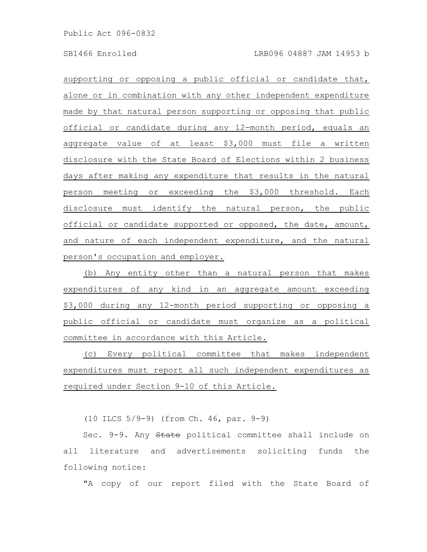supporting or opposing a public official or candidate that, alone or in combination with any other independent expenditure made by that natural person supporting or opposing that public official or candidate during any 12-month period, equals an aggregate value of at least \$3,000 must file a written disclosure with the State Board of Elections within 2 business days after making any expenditure that results in the natural person meeting or exceeding the \$3,000 threshold. Each disclosure must identify the natural person, the public official or candidate supported or opposed, the date, amount, and nature of each independent expenditure, and the natural person's occupation and employer.

(b) Any entity other than a natural person that makes expenditures of any kind in an aggregate amount exceeding \$3,000 during any 12-month period supporting or opposing a public official or candidate must organize as a political committee in accordance with this Article.

(c) Every political committee that makes independent expenditures must report all such independent expenditures as required under Section 9-10 of this Article.

(10 ILCS 5/9-9) (from Ch. 46, par. 9-9)

Sec. 9-9. Any State political committee shall include on all literature and advertisements soliciting funds the following notice:

"A copy of our report filed with the State Board of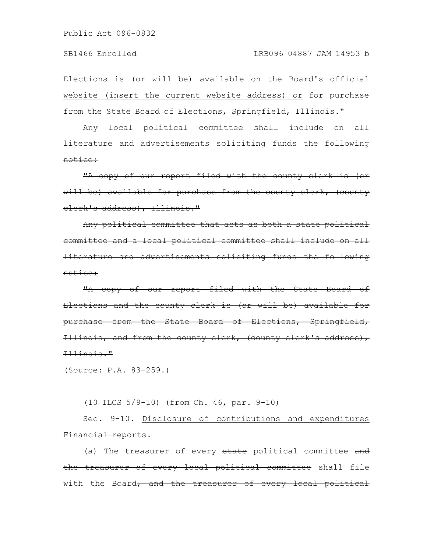Elections is (or will be) available on the Board's official website (insert the current website address) or for purchase from the State Board of Elections, Springfield, Illinois."

Any local political committee shall include on all literature and advertisements soliciting funds the following notice:

"A copy of our report filed with the county clerk is (or will be) available for purchase from the county clerk, (county clerk's address), Illinois."

Any political committee that acts as both a state political committee and a local political committee shall include on all literature and advertisements soliciting funds the following notice:

"A copy of our report filed with the State Board of Elections and the county clerk is (or will be) available for purchase from the State Board of Elections, Springfield, Illinois, and from the county clerk, (county clerk's address), Illinois."

(Source: P.A. 83-259.)

(10 ILCS 5/9-10) (from Ch. 46, par. 9-10)

Sec. 9-10. Disclosure of contributions and expenditures Financial reports.

(a) The treasurer of every state political committee and the treasurer of every local political committee shall file with the Board, and the treasurer of every local political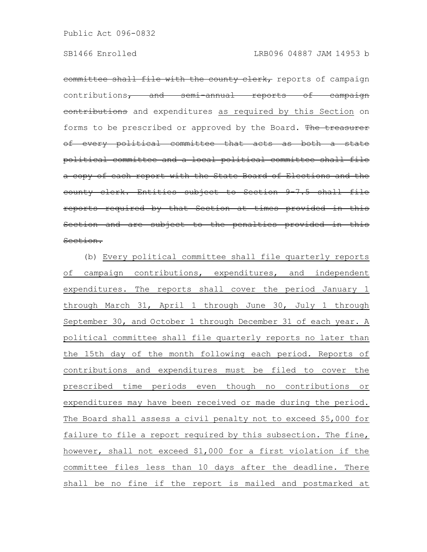committee shall file with the county clerk, reports of campaign contributions, and semi-annual reports of campaign contributions and expenditures as required by this Section on forms to be prescribed or approved by the Board. The treasurer of every political committee that acts as both a state political committee and a local political committee shall file a copy of each report with the State Board of Elections and the county clerk. Entities subject to Section 9-7.5 shall file reports required by that Section at times provided in this Section and are subject to the penalties provided in this Section.

(b) Every political committee shall file quarterly reports of campaign contributions, expenditures, and independent expenditures. The reports shall cover the period January 1 through March 31, April 1 through June 30, July 1 through September 30, and October 1 through December 31 of each year. A political committee shall file quarterly reports no later than the 15th day of the month following each period. Reports of contributions and expenditures must be filed to cover the prescribed time periods even though no contributions or expenditures may have been received or made during the period. The Board shall assess a civil penalty not to exceed \$5,000 for failure to file a report required by this subsection. The fine, however, shall not exceed \$1,000 for a first violation if the committee files less than 10 days after the deadline. There shall be no fine if the report is mailed and postmarked at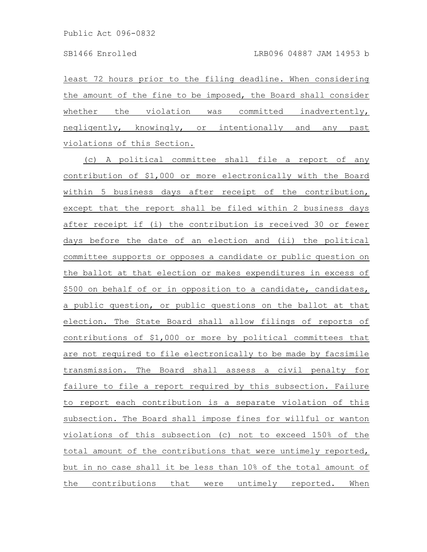least 72 hours prior to the filing deadline. When considering the amount of the fine to be imposed, the Board shall consider whether the violation was committed inadvertently, negligently, knowingly, or intentionally and any past violations of this Section.

(c) A political committee shall file a report of any contribution of \$1,000 or more electronically with the Board within 5 business days after receipt of the contribution, except that the report shall be filed within 2 business days after receipt if (i) the contribution is received 30 or fewer days before the date of an election and (ii) the political committee supports or opposes a candidate or public question on the ballot at that election or makes expenditures in excess of \$500 on behalf of or in opposition to a candidate, candidates, a public question, or public questions on the ballot at that election. The State Board shall allow filings of reports of contributions of \$1,000 or more by political committees that are not required to file electronically to be made by facsimile transmission. The Board shall assess a civil penalty for failure to file a report required by this subsection. Failure to report each contribution is a separate violation of this subsection. The Board shall impose fines for willful or wanton violations of this subsection (c) not to exceed 150% of the total amount of the contributions that were untimely reported, but in no case shall it be less than 10% of the total amount of the contributions that were untimely reported. When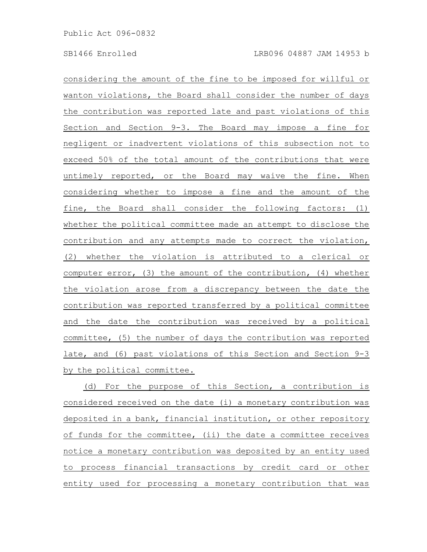considering the amount of the fine to be imposed for willful or wanton violations, the Board shall consider the number of days the contribution was reported late and past violations of this Section and Section 9-3. The Board may impose a fine for negligent or inadvertent violations of this subsection not to exceed 50% of the total amount of the contributions that were untimely reported, or the Board may waive the fine. When considering whether to impose a fine and the amount of the fine, the Board shall consider the following factors: (1) whether the political committee made an attempt to disclose the contribution and any attempts made to correct the violation, (2) whether the violation is attributed to a clerical or computer error, (3) the amount of the contribution, (4) whether the violation arose from a discrepancy between the date the contribution was reported transferred by a political committee and the date the contribution was received by a political committee, (5) the number of days the contribution was reported late, and (6) past violations of this Section and Section 9-3 by the political committee.

(d) For the purpose of this Section, a contribution is considered received on the date (i) a monetary contribution was deposited in a bank, financial institution, or other repository of funds for the committee, (ii) the date a committee receives notice a monetary contribution was deposited by an entity used to process financial transactions by credit card or other entity used for processing a monetary contribution that was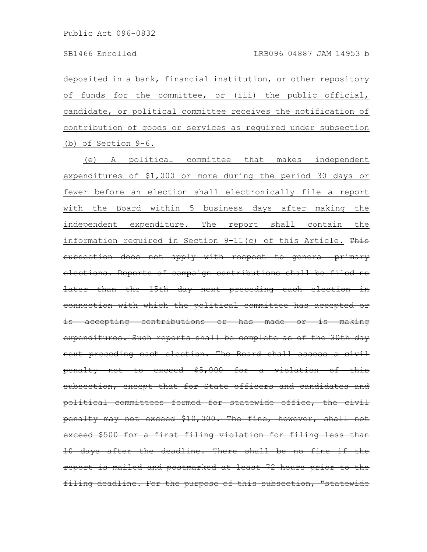deposited in a bank, financial institution, or other repository of funds for the committee, or (iii) the public official, candidate, or political committee receives the notification of contribution of goods or services as required under subsection (b) of Section 9-6.

(e) A political committee that makes independent expenditures of \$1,000 or more during the period 30 days or fewer before an election shall electronically file a report with the Board within 5 business days after making the independent expenditure. The report shall contain the information required in Section  $9-11(c)$  of this Article. This subsection does not apply with respect to general primary elections. Reports of campaign contributions shall be later than the 15th day next preceding each election in connection with which the political committee has accepted accepting contributions or has made or expenditures. Such reports shall be complete as of the 30th day next preceding each election. The Board shall assess a civil penalty not to exceed \$5,000 for a violation of this subsection, except that for State officers and candidates and political committees formed for statewide office, the civil penalty may not exceed \$10,000. The fine, however, shall not exceed \$500 for a first filing violation for filing less 10 days after the deadline. There shall be no fine report is mailed and postmarked at least 72 hours prior to the filing deadline. For the purpose of this subsection, "statewide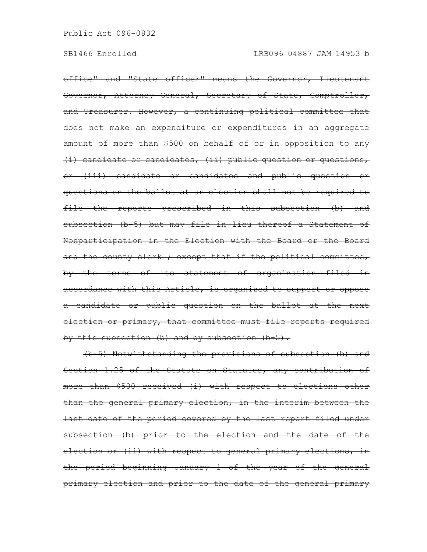office" and "State officer" means the Governor, Lieutenant Governor, Attorney General, Secretary of State, Comptroller, and Treasurer. However, a continuing political committee that does not make an expenditure or expenditures in an aggregate amount of more than \$500 on behalf of or in opposition to any (i) candidate or candidates, (ii) public question or questions, or (iii) candidate or candidates and public question or questions on the ballot at an election shall not be required to file the reports prescribed in this subsection (b) and subsection (b 5) but may file in lieu thereof a Statement of Nonparticipation in the Election with the Board or the Board and the county clerk ; except that if the political committee, by the terms of its statement of organization filed in accordance with this Article, is organized to support or oppose a candidate or public question on the ballot at the next election or primary, that committee must file reports required by this subsection (b) and by subsection (b 5).

(b-5) Notwithstanding the provisions of subsection (b) and Section 1.25 of the Statute on Statutes, any contribution of more than \$500 received (i) with respect to elections other than the general primary election, in the interim between the last date of the period covered by the last report filed under subsection (b) prior to the election and the date of the election or (ii) with respect to general primary elections, in the period beginning January 1 of the year of the general primary election and prior to the date of the general primary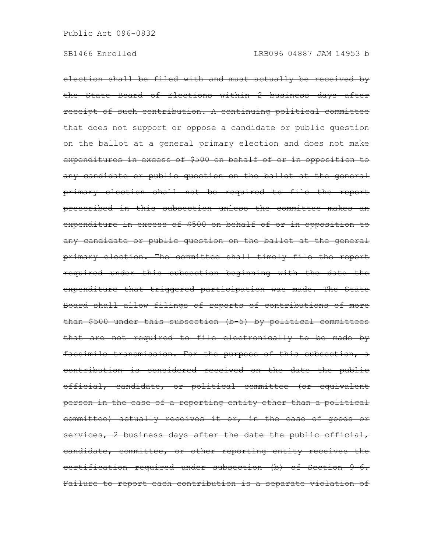election shall be filed with and must actually be received by the State Board of Elections within 2 business days after receipt of such contribution. A continuing political committee that does not support or oppose a candidate or public question on the ballot at a general primary election and does not make expenditures in excess of \$500 on behalf of or in opposition to any candidate or public question on the ballot at the general primary election shall not be required to file the report prescribed in this subsection unless the committee makes an expenditure in excess of \$500 on behalf of or in opposition to any candidate or public question on the ballot at the general primary election. The committee shall timely file the report required under this subsection beginning with the date the expenditure that triggered participation was made. The State Board shall allow filings of reports of contributions of more than \$500 under this subsection (b-5) by political committees that are not required to file electronically to be made by facsimile transmission. For the purpose of this subsection, a contribution is considered received on the date the public official, candidate, or political committee (or equivalent person in the case of a reporting entity other than a political committee) actually receives it or, in the case of goods or services, 2 business days after the date the public official, candidate, committee, or other reporting entity receives the certification required under subsection (b) of Section 9-6. Failure to report each contribution is a separate violation of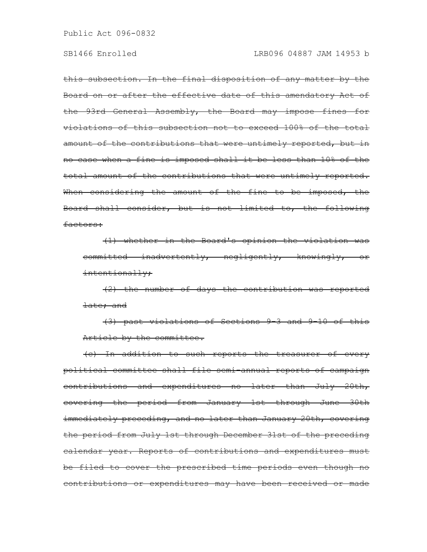this subsection. In the final disposition of any matter by the Board on or after the effective date of this amendatory Act of the 93rd General Assembly, the Board may impose fines for violations of this subsection not to exceed 100% of the total amount of the contributions that were untimely reported, but in no case when a fine is imposed shall it be less than 10% of the total amount of the contributions that were untimely reported. When considering the amount of the fine to be imposed, the Board shall consider, but is not limited to, the following factors:

(1) whether in the Board's opinion the violation was committed inadvertently, negligently, knowingly, or intentionally;

(2) the number of days the contribution was reported late; and

(3) past violations of Sections 9-3 and 9-10 of this Article by the committee.

(c) In addition to such reports the treasurer of every political committee shall file semi-annual reports of campaign contributions and expenditures no later than July 20th, covering the period from January 1st through June 30th immediately preceding, and no later than January 20th, covering the period from July 1st through December 31st of the preceding calendar year. Reports of contributions and expenditures must be filed to cover the prescribed time periods even though no contributions or expenditures may have been received or made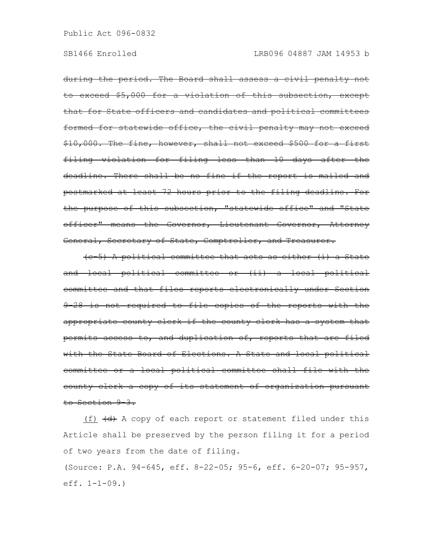during the period. The Board shall assess a civil penalty not to exceed \$5,000 for a violation of this subsection, except that for State officers and candidates and political committees formed for statewide office, the civil penalty may not exceed \$10,000. The fine, however, shall not exceed \$500 for a first filing violation for filing less than 10 days after the deadline. There shall be no fine if the report is mailed and postmarked at least 72 hours prior to the filing deadline. For the purpose of this subsection, "statewide office" and "State officer" means the Governor, Lieutenant Governor, Attorney General, Secretary of State, Comptroller, and Treasurer.

(c-5) A political committee that acts as either (i) a State and local political committee or (ii) a local political committee and that files reports electronically under Section 9-28 is not required to file copies of the reports with the appropriate county clerk if the county clerk has a system that permits access to, and duplication of, reports that are filed with the State Board of Elections. A State and local political committee or a local political committee shall file with the county clerk a copy of its statement of organization pursuant to Section 9-3.

(f)  $\left\langle d \right\rangle$  A copy of each report or statement filed under this Article shall be preserved by the person filing it for a period of two years from the date of filing.

(Source: P.A. 94-645, eff. 8-22-05; 95-6, eff. 6-20-07; 95-957, eff. 1-1-09.)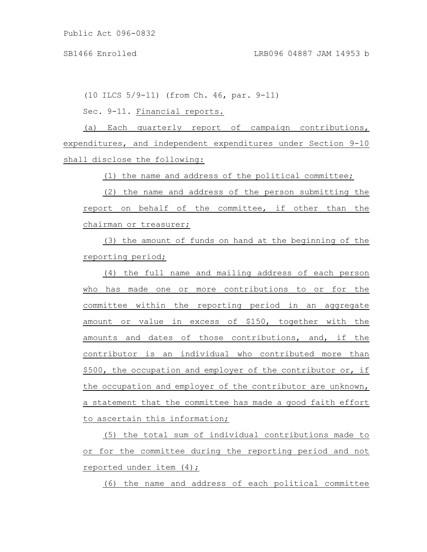(10 ILCS 5/9-11) (from Ch. 46, par. 9-11)

Sec. 9-11. Financial reports.

(a) Each quarterly report of campaign contributions, expenditures, and independent expenditures under Section 9-10 shall disclose the following:

(1) the name and address of the political committee;

(2) the name and address of the person submitting the report on behalf of the committee, if other than the chairman or treasurer;

(3) the amount of funds on hand at the beginning of the reporting period;

(4) the full name and mailing address of each person who has made one or more contributions to or for the committee within the reporting period in an aggregate amount or value in excess of \$150, together with the amounts and dates of those contributions, and, if the contributor is an individual who contributed more than \$500, the occupation and employer of the contributor or, if the occupation and employer of the contributor are unknown, a statement that the committee has made a good faith effort to ascertain this information;

(5) the total sum of individual contributions made to or for the committee during the reporting period and not reported under item (4);

(6) the name and address of each political committee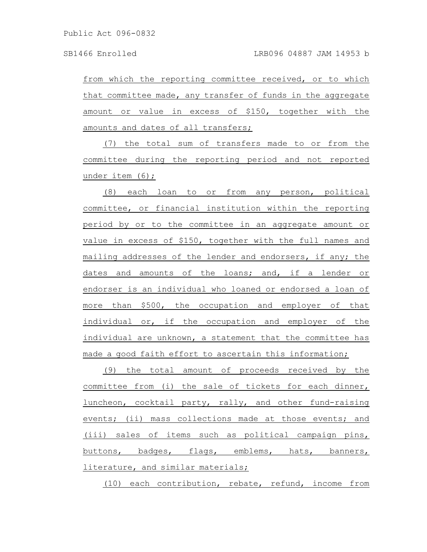from which the reporting committee received, or to which that committee made, any transfer of funds in the aggregate amount or value in excess of \$150, together with the amounts and dates of all transfers;

(7) the total sum of transfers made to or from the committee during the reporting period and not reported under item (6);

(8) each loan to or from any person, political committee, or financial institution within the reporting period by or to the committee in an aggregate amount or value in excess of \$150, together with the full names and mailing addresses of the lender and endorsers, if any; the dates and amounts of the loans; and, if a lender or endorser is an individual who loaned or endorsed a loan of more than \$500, the occupation and employer of that individual or, if the occupation and employer of the individual are unknown, a statement that the committee has made a good faith effort to ascertain this information;

(9) the total amount of proceeds received by the committee from (i) the sale of tickets for each dinner, luncheon, cocktail party, rally, and other fund-raising events; (ii) mass collections made at those events; and (iii) sales of items such as political campaign pins, buttons, badges, flags, emblems, hats, banners, literature, and similar materials;

(10) each contribution, rebate, refund, income from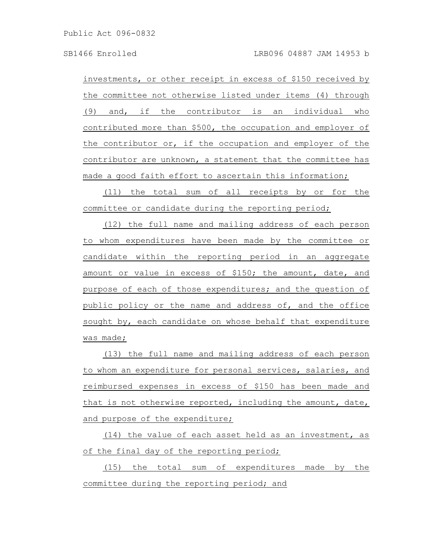investments, or other receipt in excess of \$150 received by the committee not otherwise listed under items (4) through (9) and, if the contributor is an individual who contributed more than \$500, the occupation and employer of the contributor or, if the occupation and employer of the contributor are unknown, a statement that the committee has made a good faith effort to ascertain this information;

(11) the total sum of all receipts by or for the committee or candidate during the reporting period;

(12) the full name and mailing address of each person to whom expenditures have been made by the committee or candidate within the reporting period in an aggregate amount or value in excess of \$150; the amount, date, and purpose of each of those expenditures; and the question of public policy or the name and address of, and the office sought by, each candidate on whose behalf that expenditure was made;

(13) the full name and mailing address of each person to whom an expenditure for personal services, salaries, and reimbursed expenses in excess of \$150 has been made and that is not otherwise reported, including the amount, date, and purpose of the expenditure;

(14) the value of each asset held as an investment, as of the final day of the reporting period;

(15) the total sum of expenditures made by the committee during the reporting period; and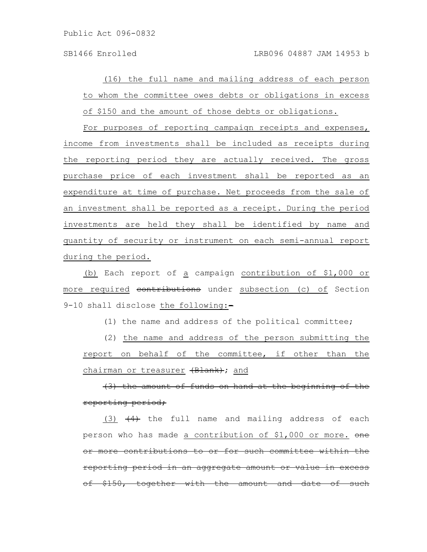(16) the full name and mailing address of each person to whom the committee owes debts or obligations in excess of \$150 and the amount of those debts or obligations.

For purposes of reporting campaign receipts and expenses, income from investments shall be included as receipts during the reporting period they are actually received. The gross purchase price of each investment shall be reported as an expenditure at time of purchase. Net proceeds from the sale of an investment shall be reported as a receipt. During the period investments are held they shall be identified by name and quantity of security or instrument on each semi-annual report during the period.

(b) Each report of a campaign contribution of \$1,000 or more required contributions under subsection (c) of Section 9-10 shall disclose the following:-

(1) the name and address of the political committee;

(2) the name and address of the person submitting the report on behalf of the committee, if other than the chairman or treasurer (Blank); and

 $(3)$  the amount of funds on hand at the beginning reporting period;

(3)  $(4)$  the full name and mailing address of each person who has made a contribution of \$1,000 or more. one more contributions to or for such committee within reporting period in an aggregate amount or value in excess  $$150$ , together with the amount and date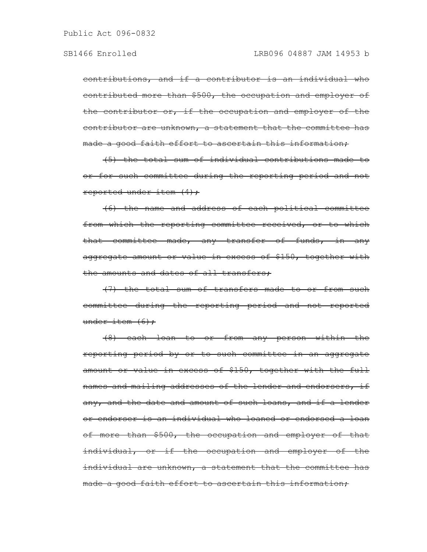contributions, and if a contributor is an individual who contributed more than \$500, the occupation and employer of the contributor or, if the occupation and employer of the contributor are unknown, a statement that the committee has made a good faith effort to ascertain this information;

(5) the total sum of individual contributions made to or for such committee during the reporting period and not reported under item  $(4)$ ;

(6) the name and address of each political committee from which the reporting committee received, or to which that committee made, any transfer of funds, in any aggregate amount or value in excess of \$150, together with the amounts and dates of all transfers:

(7) the total sum of transfers made to or from such committee during the reporting period and not reported under item  $(6)$ ;

(8) each loan to or from any person within the reporting period by or to such committee in an aggregate amount or value in excess of \$150, together with the full names and mailing addresses of the lender and endorsers, if any, and the date and amount of such loans, and if a lender or endorser is an individual who loaned or endorsed a loan of more than \$500, the occupation and employer of that individual, or if the occupation and employer of the individual are unknown, a statement that the committee has made a good faith effort to ascertain this information;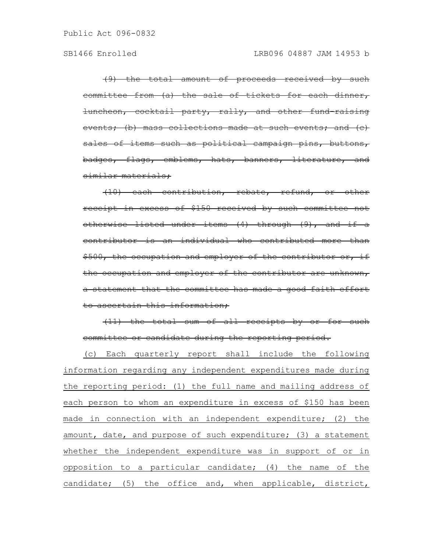(9) the total amount of proceeds received by such committee from (a) the sale of tickets for each dinner, luncheon, cocktail party, rally, and other fund-raising vents; (b) mass collections made at such events; and sales of items such as political campaign pins, buttons, badges, flags, emblems, hats, banners, literature, and similar materials;

(10) each contribution, rebate, refund, or other receipt in excess of \$150 received by such committee not otherwise listed under items (4) through (9), and if a contributor is an individual who contributed more than \$500, the occupation and employer of the contributor or, if the occupation and employer of the contributor are unknown, a statement that the committee has made a good faith effort to ascertain this information;

(11) the total sum of all receipts by or for such committee or candidate during the reporting period.

(c) Each quarterly report shall include the following information regarding any independent expenditures made during the reporting period: (1) the full name and mailing address of each person to whom an expenditure in excess of \$150 has been made in connection with an independent expenditure; (2) the amount, date, and purpose of such expenditure; (3) a statement whether the independent expenditure was in support of or in opposition to a particular candidate; (4) the name of the candidate; (5) the office and, when applicable, district,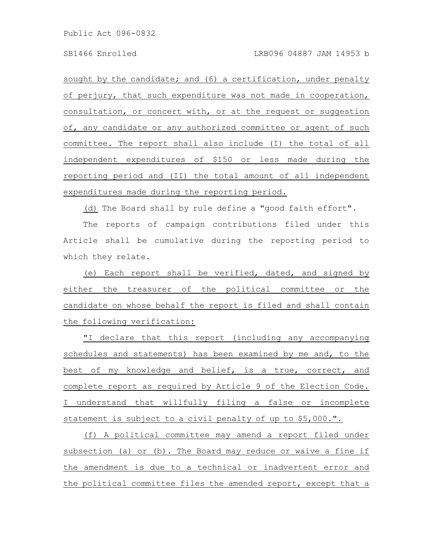sought by the candidate; and (6) a certification, under penalty of perjury, that such expenditure was not made in cooperation, consultation, or concert with, or at the request or suggestion of, any candidate or any authorized committee or agent of such committee. The report shall also include (I) the total of all independent expenditures of \$150 or less made during the reporting period and (II) the total amount of all independent expenditures made during the reporting period.

(d) The Board shall by rule define a "good faith effort".

The reports of campaign contributions filed under this Article shall be cumulative during the reporting period to which they relate.

(e) Each report shall be verified, dated, and signed by either the treasurer of the political committee or the candidate on whose behalf the report is filed and shall contain the following verification:

"I declare that this report (including any accompanying schedules and statements) has been examined by me and, to the best of my knowledge and belief, is a true, correct, and complete report as required by Article 9 of the Election Code. I understand that willfully filing a false or incomplete statement is subject to a civil penalty of up to \$5,000.".

(f) A political committee may amend a report filed under subsection (a) or (b). The Board may reduce or waive a fine if the amendment is due to a technical or inadvertent error and the political committee files the amended report, except that a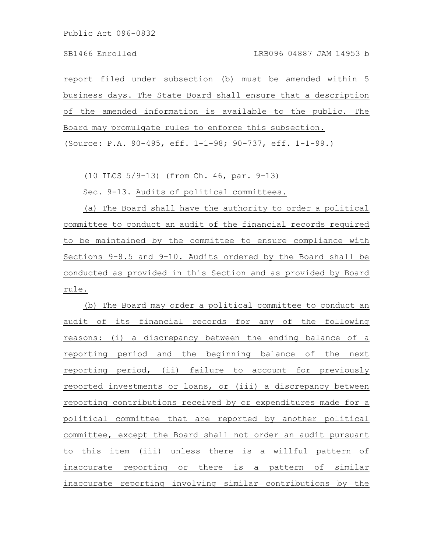report filed under subsection (b) must be amended within 5 business days. The State Board shall ensure that a description of the amended information is available to the public. The Board may promulgate rules to enforce this subsection. (Source: P.A. 90-495, eff. 1-1-98; 90-737, eff. 1-1-99.)

(10 ILCS 5/9-13) (from Ch. 46, par. 9-13)

Sec. 9-13. Audits of political committees.

(a) The Board shall have the authority to order a political committee to conduct an audit of the financial records required to be maintained by the committee to ensure compliance with Sections 9-8.5 and 9-10. Audits ordered by the Board shall be conducted as provided in this Section and as provided by Board rule.

(b) The Board may order a political committee to conduct an audit of its financial records for any of the following reasons: (i) a discrepancy between the ending balance of a reporting period and the beginning balance of the next reporting period, (ii) failure to account for previously reported investments or loans, or (iii) a discrepancy between reporting contributions received by or expenditures made for a political committee that are reported by another political committee, except the Board shall not order an audit pursuant to this item (iii) unless there is a willful pattern of inaccurate reporting or there is a pattern of similar inaccurate reporting involving similar contributions by the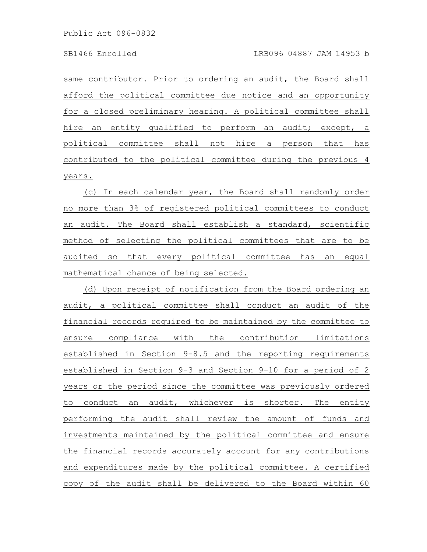same contributor. Prior to ordering an audit, the Board shall afford the political committee due notice and an opportunity for a closed preliminary hearing. A political committee shall hire an entity qualified to perform an audit; except, a political committee shall not hire a person that has contributed to the political committee during the previous 4 years.

(c) In each calendar year, the Board shall randomly order no more than 3% of registered political committees to conduct an audit. The Board shall establish a standard, scientific method of selecting the political committees that are to be audited so that every political committee has an equal mathematical chance of being selected.

(d) Upon receipt of notification from the Board ordering an audit, a political committee shall conduct an audit of the financial records required to be maintained by the committee to ensure compliance with the contribution limitations established in Section 9-8.5 and the reporting requirements established in Section 9-3 and Section 9-10 for a period of 2 years or the period since the committee was previously ordered to conduct an audit, whichever is shorter. The entity performing the audit shall review the amount of funds and investments maintained by the political committee and ensure the financial records accurately account for any contributions and expenditures made by the political committee. A certified copy of the audit shall be delivered to the Board within 60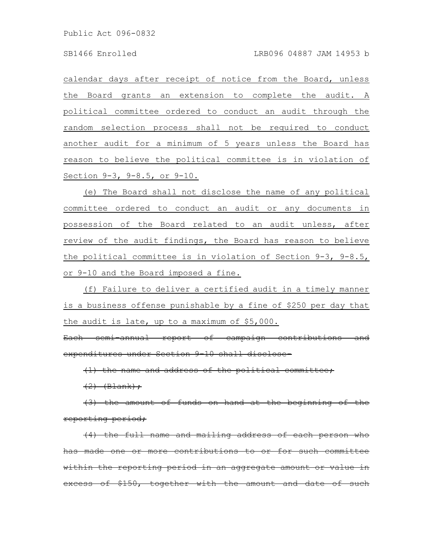calendar days after receipt of notice from the Board, unless the Board grants an extension to complete the audit. A political committee ordered to conduct an audit through the random selection process shall not be required to conduct another audit for a minimum of 5 years unless the Board has reason to believe the political committee is in violation of Section 9-3, 9-8.5, or 9-10.

(e) The Board shall not disclose the name of any political committee ordered to conduct an audit or any documents in possession of the Board related to an audit unless, after review of the audit findings, the Board has reason to believe the political committee is in violation of Section 9-3, 9-8.5, or 9-10 and the Board imposed a fine.

(f) Failure to deliver a certified audit in a timely manner is a business offense punishable by a fine of \$250 per day that the audit is late, up to a maximum of \$5,000.

Each semi-annual report of campaign contributions expenditures under Section 9-10 shall disclose-

(1) the name and address of the political committee;

 $(2)$   $(B$   $\lambda$   $)$   $\rightarrow$ 

the amount of funds on hand at the beginning reporting period;

the full name and mailing address of each one or more contributions to or within the reporting period in an aggregate amount excess of  $$150$ , together with the amount and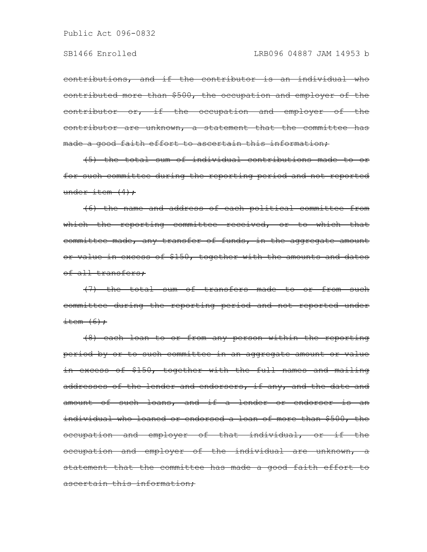contributions, and if the contributor is an individual who contributed more than \$500, the occupation and employer of the contributor or, if the occupation and employer of the contributor are unknown, a statement that the committee has made a good faith effort to ascertain this information;

(5) the total sum of individual contributions made to or for such committee during the reporting period and not reported under item  $(4)$ ;

(6) the name and address of each political committee from which the reporting committee received, or to which that committee made, any transfer of funds, in the aggregate amount or value in excess of \$150, together with the amounts and dates of all transfers;

(7) the total sum of transfers made to or from such committee during the reporting period and not reported under  $\text{item } (6)$  ;

(8) each loan to or from any person within the reporting period by or to such committee in an aggregate amount or value in excess of \$150, together with the full names and mailing addresses of the lender and endorsers, if any, and the date and amount of such loans, and if a lender or endorser is an individual who loaned or endorsed a loan of more than \$500, the occupation and employer of that individual, or if the occupation and employer of the individual are unknown, a statement that the committee has made a good faith effort to ascertain this information;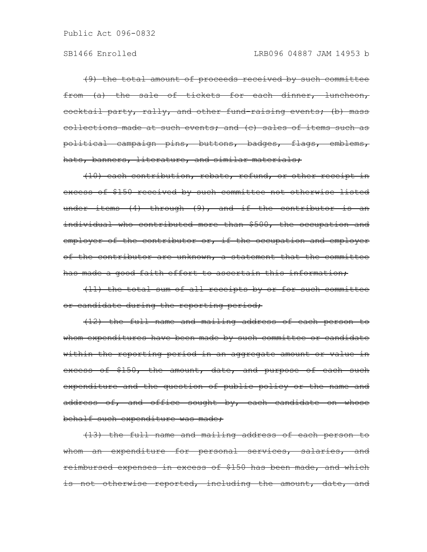(9) the total amount of proceeds received by such committee from (a) the sale of tickets for each dinner, luncheon, eocktail party, rally, and other fund-raising events; (b) mass collections made at such events; and (c) sales of items such as political campaign pins, buttons, badges, flags, emblems, hats, banners, literature, and similar materials;

(10) each contribution, rebate, refund, or other receipt in excess of \$150 received by such committee not otherwise listed under items (4) through (9), and if the contributor is an individual who contributed more than \$500, the occupation and employer of the contributor or, if the occupation and employer of the contributor are unknown, a statement that the committee has made a good faith effort to ascertain this information,

(11) the total sum of all receipts by or for such committee or candidate during the reporting period;

(12) the full name and mailing address of each person to whom expenditures have been made by such committee or candidate within the reporting period in an aggregate amount or value in excess of \$150, the amount, date, and purpose of each such expenditure and the question of public policy or the name and address of, and office sought by, each candidate on whose behalf such expenditure was made;

(13) the full name and mailing address of each person to whom an expenditure for personal services, salaries, and reimbursed expenses in excess of \$150 has been made, and which is not otherwise reported, including the amount, date, and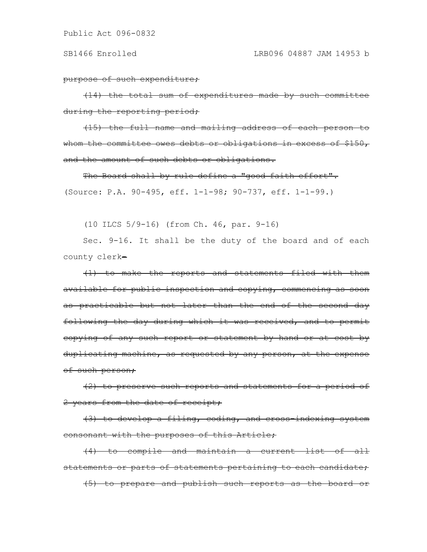purpose of such expenditure;

(14) the total sum of expenditures made by such committee during the reporting period;

(15) the full name and mailing address of each person to whom the committee owes debts or obligations in excess of \$150, and the amount of such debts or obligations.

The Board shall by rule define a "good faith effort". (Source: P.A. 90-495, eff. 1-1-98; 90-737, eff. 1-1-99.)

(10 ILCS 5/9-16) (from Ch. 46, par. 9-16)

Sec. 9-16. It shall be the duty of the board and of each county clerk-

(1) to make the reports and statements filed with them available for public inspection and copying, commencing as soon as practicable but not later than the end of the second day following the day during which it was received, and to permit copying of any such report or statement by hand or at cost by duplicating machine, as requested by any person, at the expense of such person;

(2) to preserve such reports and statements for a period of 2 years from the date of receipt;

(3) to develop a filing, coding, and cross-indexing system consonant with the purposes of this Article;

(4) to compile and maintain a current list of all statements or parts of statements pertaining to each candidate; (5) to prepare and publish such reports as the board or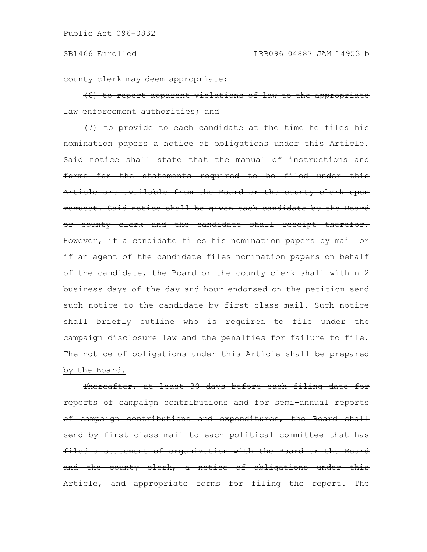county clerk may deem appropriate;

(6) to report apparent violations of law to the appropriate law enforcement authorities; and

 $(7)$  to provide to each candidate at the time he files his nomination papers a notice of obligations under this Article. Said notice shall state that the manual of instructions and forms for the statements required to be filed under this Article are available from the Board or the county clerk upon request. Said notice shall be given each candidate by the Board or county clerk and the candidate shall receipt therefor. However, if a candidate files his nomination papers by mail or if an agent of the candidate files nomination papers on behalf of the candidate, the Board or the county clerk shall within 2 business days of the day and hour endorsed on the petition send such notice to the candidate by first class mail. Such notice shall briefly outline who is required to file under the campaign disclosure law and the penalties for failure to file. The notice of obligations under this Article shall be prepared by the Board.

Thereafter, at least 30 days before each filing date for reports of campaign contributions and for semi-annual reports of campaign contributions and expenditures, the Board shall send by first class mail to each political committee that has filed a statement of organization with the Board or the Board and the county clerk, a notice of obligations under this Article, and appropriate forms for filing the report. The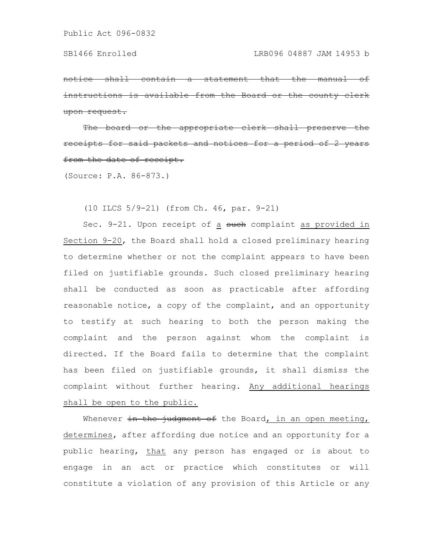<del>a statement</del> instructions is available from the Board upon request.

<del>appropriate</del> receipts for said packets and notices from the date of receipt.

(Source: P.A. 86-873.)

(10 ILCS 5/9-21) (from Ch. 46, par. 9-21)

Sec. 9-21. Upon receipt of a such complaint as provided in Section 9-20, the Board shall hold a closed preliminary hearing to determine whether or not the complaint appears to have been filed on justifiable grounds. Such closed preliminary hearing shall be conducted as soon as practicable after affording reasonable notice, a copy of the complaint, and an opportunity to testify at such hearing to both the person making the complaint and the person against whom the complaint is directed. If the Board fails to determine that the complaint has been filed on justifiable grounds, it shall dismiss the complaint without further hearing. Any additional hearings shall be open to the public.

Whenever in the judgment of the Board, in an open meeting, determines, after affording due notice and an opportunity for a public hearing, that any person has engaged or is about to engage in an act or practice which constitutes or will constitute a violation of any provision of this Article or any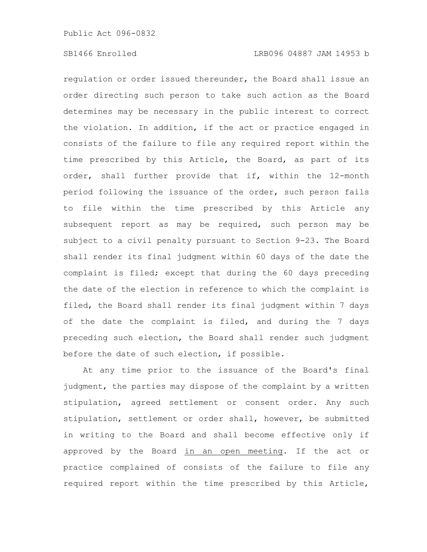regulation or order issued thereunder, the Board shall issue an order directing such person to take such action as the Board determines may be necessary in the public interest to correct the violation. In addition, if the act or practice engaged in consists of the failure to file any required report within the time prescribed by this Article, the Board, as part of its order, shall further provide that if, within the 12-month period following the issuance of the order, such person fails to file within the time prescribed by this Article any subsequent report as may be required, such person may be subject to a civil penalty pursuant to Section 9-23. The Board shall render its final judgment within 60 days of the date the complaint is filed; except that during the 60 days preceding the date of the election in reference to which the complaint is filed, the Board shall render its final judgment within 7 days of the date the complaint is filed, and during the 7 days preceding such election, the Board shall render such judgment before the date of such election, if possible.

At any time prior to the issuance of the Board's final judgment, the parties may dispose of the complaint by a written stipulation, agreed settlement or consent order. Any such stipulation, settlement or order shall, however, be submitted in writing to the Board and shall become effective only if approved by the Board in an open meeting. If the act or practice complained of consists of the failure to file any required report within the time prescribed by this Article,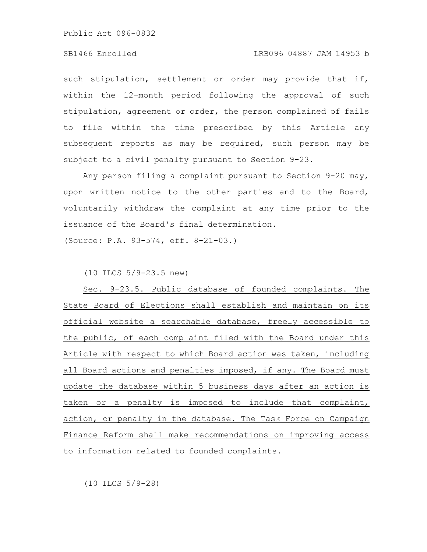# SB1466 Enrolled LRB096 04887 JAM 14953 b

such stipulation, settlement or order may provide that if, within the 12-month period following the approval of such stipulation, agreement or order, the person complained of fails to file within the time prescribed by this Article any subsequent reports as may be required, such person may be subject to a civil penalty pursuant to Section 9-23.

Any person filing a complaint pursuant to Section 9-20 may, upon written notice to the other parties and to the Board, voluntarily withdraw the complaint at any time prior to the issuance of the Board's final determination.

(Source: P.A. 93-574, eff. 8-21-03.)

(10 ILCS 5/9-23.5 new)

Sec. 9-23.5. Public database of founded complaints. The State Board of Elections shall establish and maintain on its official website a searchable database, freely accessible to the public, of each complaint filed with the Board under this Article with respect to which Board action was taken, including all Board actions and penalties imposed, if any. The Board must update the database within 5 business days after an action is taken or a penalty is imposed to include that complaint, action, or penalty in the database. The Task Force on Campaign Finance Reform shall make recommendations on improving access to information related to founded complaints.

(10 ILCS 5/9-28)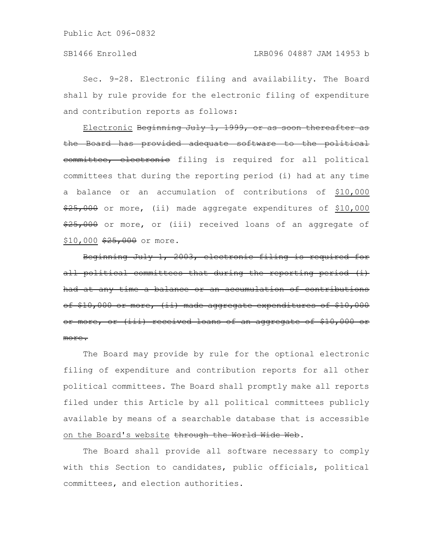Sec. 9-28. Electronic filing and availability. The Board shall by rule provide for the electronic filing of expenditure and contribution reports as follows:

Electronic Beginning July 1, 1999, or as soon therea the Board has provided adequate software to the political committee, electronic filing is required for all political committees that during the reporting period (i) had at any time a balance or an accumulation of contributions of \$10,000  $\frac{25,000}{10,000}$  or more, (ii) made aggregate expenditures of \$10,000  $\frac{25,000}{25,000}$  or more, or (iii) received loans of an aggregate of  $$10,000$   $$25,000$  or more.

Beginning July 1, 2003, electronic filing is required for political committees that during the reporting peri had at any time a balance or an accumulation of contribut of \$10,000 or more, (ii) made aggregate expenditures or more, or (iii) received loans of an aggregate more.

The Board may provide by rule for the optional electronic filing of expenditure and contribution reports for all other political committees. The Board shall promptly make all reports filed under this Article by all political committees publicly available by means of a searchable database that is accessible on the Board's website through the World Wide Web.

The Board shall provide all software necessary to comply with this Section to candidates, public officials, political committees, and election authorities.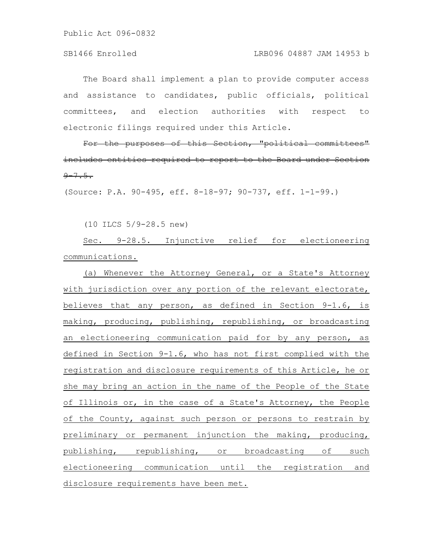The Board shall implement a plan to provide computer access and assistance to candidates, public officials, political committees, and election authorities with respect to electronic filings required under this Article.

For the purposes of this Section, "political committees" includes entities required to report to the Board under Section  $9 - 7.5.$ 

(Source: P.A. 90-495, eff. 8-18-97; 90-737, eff. 1-1-99.)

(10 ILCS 5/9-28.5 new)

Sec. 9-28.5. Injunctive relief for electioneering communications.

(a) Whenever the Attorney General, or a State's Attorney with jurisdiction over any portion of the relevant electorate, believes that any person, as defined in Section 9-1.6, is making, producing, publishing, republishing, or broadcasting an electioneering communication paid for by any person, as defined in Section 9-1.6, who has not first complied with the registration and disclosure requirements of this Article, he or she may bring an action in the name of the People of the State of Illinois or, in the case of a State's Attorney, the People of the County, against such person or persons to restrain by preliminary or permanent injunction the making, producing, publishing, republishing, or broadcasting of such electioneering communication until the registration and disclosure requirements have been met.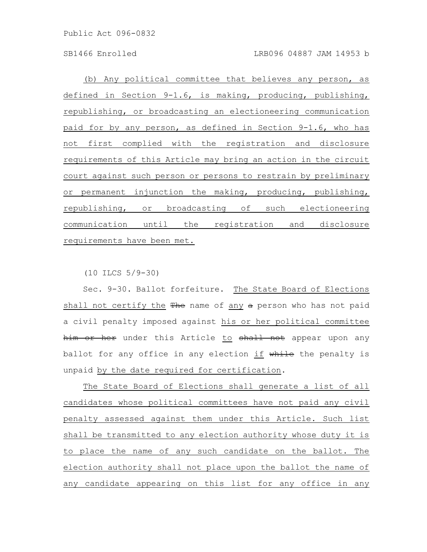(b) Any political committee that believes any person, as defined in Section 9-1.6, is making, producing, publishing, republishing, or broadcasting an electioneering communication paid for by any person, as defined in Section 9-1.6, who has not first complied with the registration and disclosure requirements of this Article may bring an action in the circuit court against such person or persons to restrain by preliminary or permanent injunction the making, producing, publishing, republishing, or broadcasting of such electioneering communication until the registration and disclosure requirements have been met.

(10 ILCS 5/9-30)

Sec. 9-30. Ballot forfeiture. The State Board of Elections shall not certify the The name of any a person who has not paid a civil penalty imposed against his or her political committee him or her under this Article to shall not appear upon any ballot for any office in any election if while the penalty is unpaid by the date required for certification.

The State Board of Elections shall generate a list of all candidates whose political committees have not paid any civil penalty assessed against them under this Article. Such list shall be transmitted to any election authority whose duty it is to place the name of any such candidate on the ballot. The election authority shall not place upon the ballot the name of any candidate appearing on this list for any office in any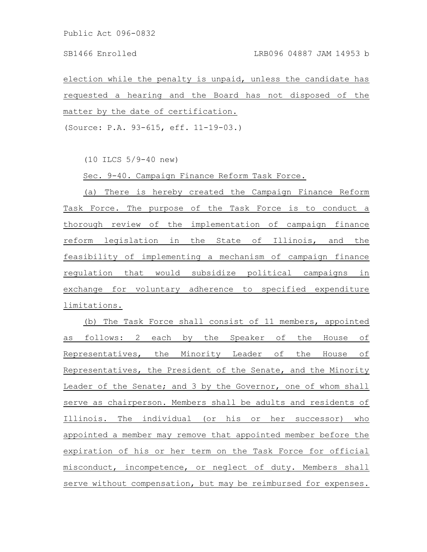# SB1466 Enrolled LRB096 04887 JAM 14953 b

election while the penalty is unpaid, unless the candidate has requested a hearing and the Board has not disposed of the matter by the date of certification.

(Source: P.A. 93-615, eff. 11-19-03.)

(10 ILCS 5/9-40 new)

Sec. 9-40. Campaign Finance Reform Task Force.

(a) There is hereby created the Campaign Finance Reform Task Force. The purpose of the Task Force is to conduct a thorough review of the implementation of campaign finance reform legislation in the State of Illinois, and the feasibility of implementing a mechanism of campaign finance regulation that would subsidize political campaigns in exchange for voluntary adherence to specified expenditure limitations.

(b) The Task Force shall consist of 11 members, appointed as follows: 2 each by the Speaker of the House of Representatives, the Minority Leader of the House of Representatives, the President of the Senate, and the Minority Leader of the Senate; and 3 by the Governor, one of whom shall serve as chairperson. Members shall be adults and residents of Illinois. The individual (or his or her successor) who appointed a member may remove that appointed member before the expiration of his or her term on the Task Force for official misconduct, incompetence, or neglect of duty. Members shall serve without compensation, but may be reimbursed for expenses.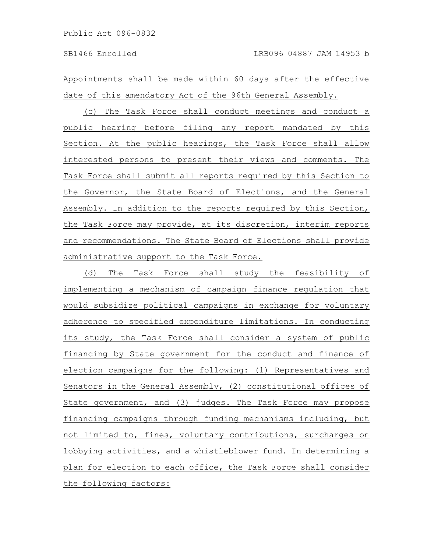Appointments shall be made within 60 days after the effective date of this amendatory Act of the 96th General Assembly.

(c) The Task Force shall conduct meetings and conduct a public hearing before filing any report mandated by this Section. At the public hearings, the Task Force shall allow interested persons to present their views and comments. The Task Force shall submit all reports required by this Section to the Governor, the State Board of Elections, and the General Assembly. In addition to the reports required by this Section, the Task Force may provide, at its discretion, interim reports and recommendations. The State Board of Elections shall provide administrative support to the Task Force.

(d) The Task Force shall study the feasibility of implementing a mechanism of campaign finance regulation that would subsidize political campaigns in exchange for voluntary adherence to specified expenditure limitations. In conducting its study, the Task Force shall consider a system of public financing by State government for the conduct and finance of election campaigns for the following: (1) Representatives and Senators in the General Assembly, (2) constitutional offices of State government, and (3) judges. The Task Force may propose financing campaigns through funding mechanisms including, but not limited to, fines, voluntary contributions, surcharges on lobbying activities, and a whistleblower fund. In determining a plan for election to each office, the Task Force shall consider the following factors: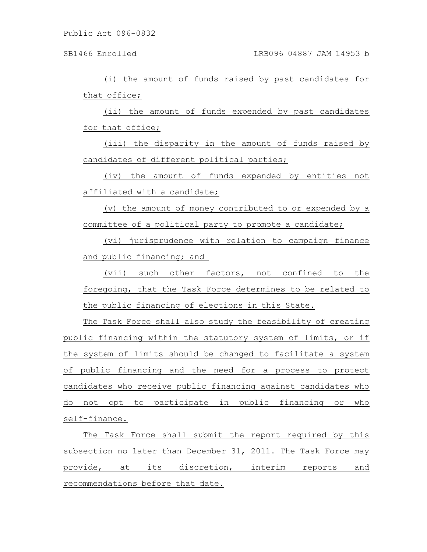(i) the amount of funds raised by past candidates for that office;

(ii) the amount of funds expended by past candidates for that office;

(iii) the disparity in the amount of funds raised by candidates of different political parties;

(iv) the amount of funds expended by entities not affiliated with a candidate;

(v) the amount of money contributed to or expended by a committee of a political party to promote a candidate;

(vi) jurisprudence with relation to campaign finance and public financing; and

(vii) such other factors, not confined to the foregoing, that the Task Force determines to be related to the public financing of elections in this State.

The Task Force shall also study the feasibility of creating public financing within the statutory system of limits, or if the system of limits should be changed to facilitate a system of public financing and the need for a process to protect candidates who receive public financing against candidates who do not opt to participate in public financing or who self-finance.

The Task Force shall submit the report required by this subsection no later than December 31, 2011. The Task Force may provide, at its discretion, interim reports and recommendations before that date.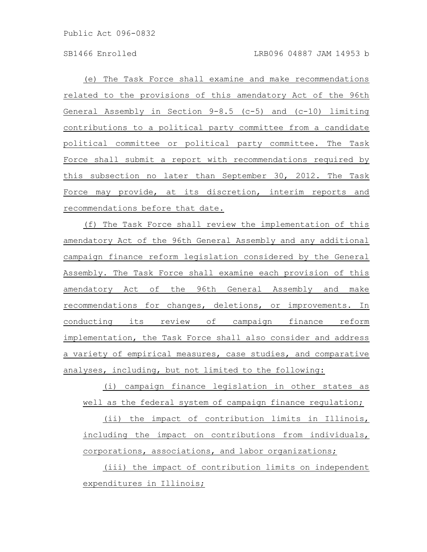(e) The Task Force shall examine and make recommendations related to the provisions of this amendatory Act of the 96th General Assembly in Section 9-8.5 (c-5) and (c-10) limiting contributions to a political party committee from a candidate political committee or political party committee. The Task Force shall submit a report with recommendations required by this subsection no later than September 30, 2012. The Task Force may provide, at its discretion, interim reports and recommendations before that date.

(f) The Task Force shall review the implementation of this amendatory Act of the 96th General Assembly and any additional campaign finance reform legislation considered by the General Assembly. The Task Force shall examine each provision of this amendatory Act of the 96th General Assembly and make recommendations for changes, deletions, or improvements. In conducting its review of campaign finance reform implementation, the Task Force shall also consider and address a variety of empirical measures, case studies, and comparative analyses, including, but not limited to the following:

(i) campaign finance legislation in other states as well as the federal system of campaign finance regulation;

(ii) the impact of contribution limits in Illinois, including the impact on contributions from individuals, corporations, associations, and labor organizations;

(iii) the impact of contribution limits on independent expenditures in Illinois;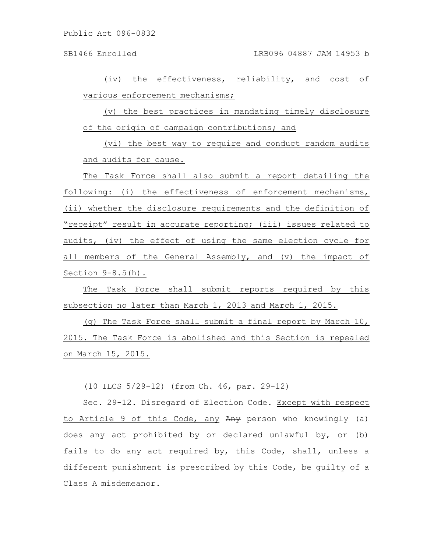(iv) the effectiveness, reliability, and cost of various enforcement mechanisms;

(v) the best practices in mandating timely disclosure of the origin of campaign contributions; and

(vi) the best way to require and conduct random audits and audits for cause.

The Task Force shall also submit a report detailing the following: (i) the effectiveness of enforcement mechanisms, (ii) whether the disclosure requirements and the definition of "receipt" result in accurate reporting; (iii) issues related to audits, (iv) the effect of using the same election cycle for all members of the General Assembly, and (v) the impact of Section 9-8.5(h).

The Task Force shall submit reports required by this subsection no later than March 1, 2013 and March 1, 2015.

(g) The Task Force shall submit a final report by March 10, 2015. The Task Force is abolished and this Section is repealed on March 15, 2015.

(10 ILCS 5/29-12) (from Ch. 46, par. 29-12)

Sec. 29-12. Disregard of Election Code. Except with respect to Article 9 of this Code, any Any person who knowingly (a) does any act prohibited by or declared unlawful by, or (b) fails to do any act required by, this Code, shall, unless a different punishment is prescribed by this Code, be guilty of a Class A misdemeanor.